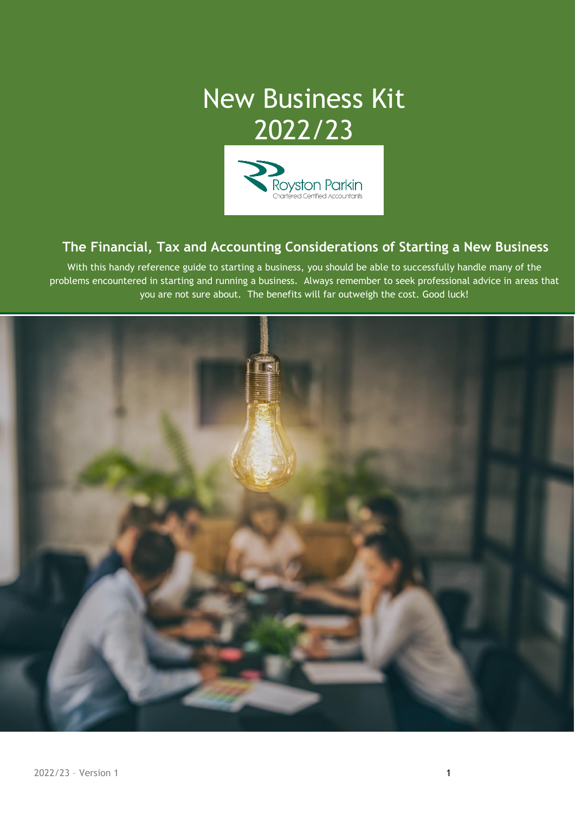# New Business Kit 2022/23



# **The Financial, Tax and Accounting Considerations of Starting a New Business**

With this handy reference guide to starting a business, you should be able to successfully handle many of the problems encountered in starting and running a business. Always remember to seek professional advice in areas that you are not sure about. The benefits will far outweigh the cost. Good luck!

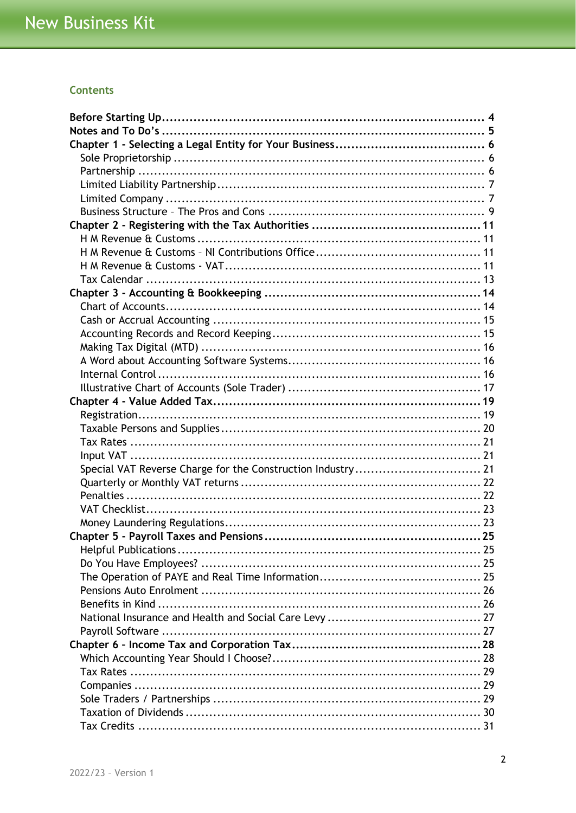## **Contents**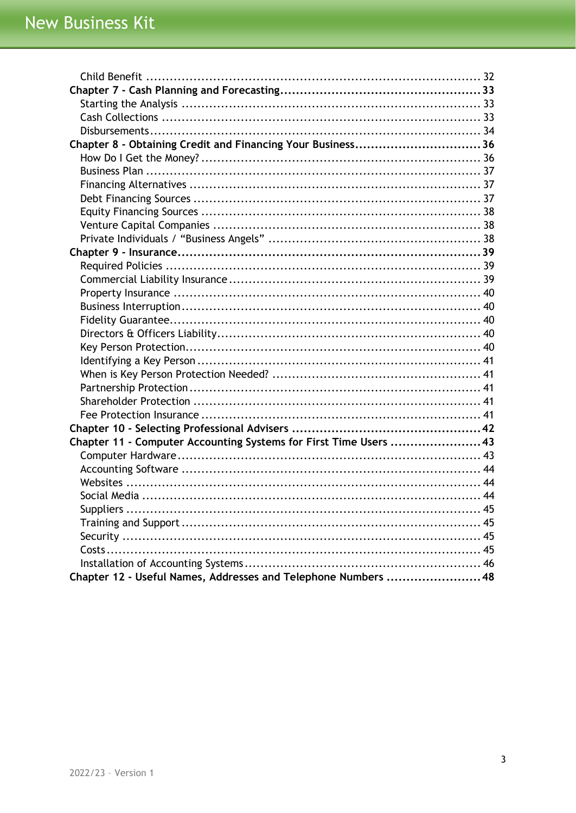| Chapter 8 - Obtaining Credit and Financing Your Business36       |  |
|------------------------------------------------------------------|--|
|                                                                  |  |
|                                                                  |  |
|                                                                  |  |
|                                                                  |  |
|                                                                  |  |
|                                                                  |  |
|                                                                  |  |
|                                                                  |  |
|                                                                  |  |
|                                                                  |  |
|                                                                  |  |
|                                                                  |  |
|                                                                  |  |
|                                                                  |  |
|                                                                  |  |
|                                                                  |  |
|                                                                  |  |
|                                                                  |  |
|                                                                  |  |
|                                                                  |  |
|                                                                  |  |
| Chapter 11 - Computer Accounting Systems for First Time Users 43 |  |
|                                                                  |  |
|                                                                  |  |
|                                                                  |  |
|                                                                  |  |
|                                                                  |  |
|                                                                  |  |
|                                                                  |  |
|                                                                  |  |
|                                                                  |  |
| Chapter 12 - Useful Names, Addresses and Telephone Numbers  48   |  |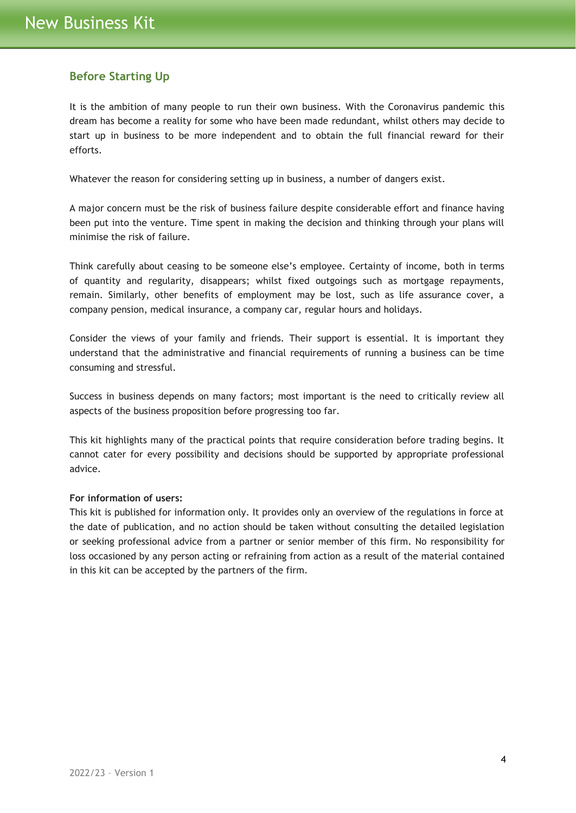# <span id="page-3-0"></span>**Before Starting Up**

It is the ambition of many people to run their own business. With the Coronavirus pandemic this dream has become a reality for some who have been made redundant, whilst others may decide to start up in business to be more independent and to obtain the full financial reward for their efforts.

Whatever the reason for considering setting up in business, a number of dangers exist.

A major concern must be the risk of business failure despite considerable effort and finance having been put into the venture. Time spent in making the decision and thinking through your plans will minimise the risk of failure.

Think carefully about ceasing to be someone else's employee. Certainty of income, both in terms of quantity and regularity, disappears; whilst fixed outgoings such as mortgage repayments, remain. Similarly, other benefits of employment may be lost, such as life assurance cover, a company pension, medical insurance, a company car, regular hours and holidays.

Consider the views of your family and friends. Their support is essential. It is important they understand that the administrative and financial requirements of running a business can be time consuming and stressful.

Success in business depends on many factors; most important is the need to critically review all aspects of the business proposition before progressing too far.

This kit highlights many of the practical points that require consideration before trading begins. It cannot cater for every possibility and decisions should be supported by appropriate professional advice.

## **For information of users:**

This kit is published for information only. It provides only an overview of the regulations in force at the date of publication, and no action should be taken without consulting the detailed legislation or seeking professional advice from a partner or senior member of this firm. No responsibility for loss occasioned by any person acting or refraining from action as a result of the material contained in this kit can be accepted by the partners of the firm.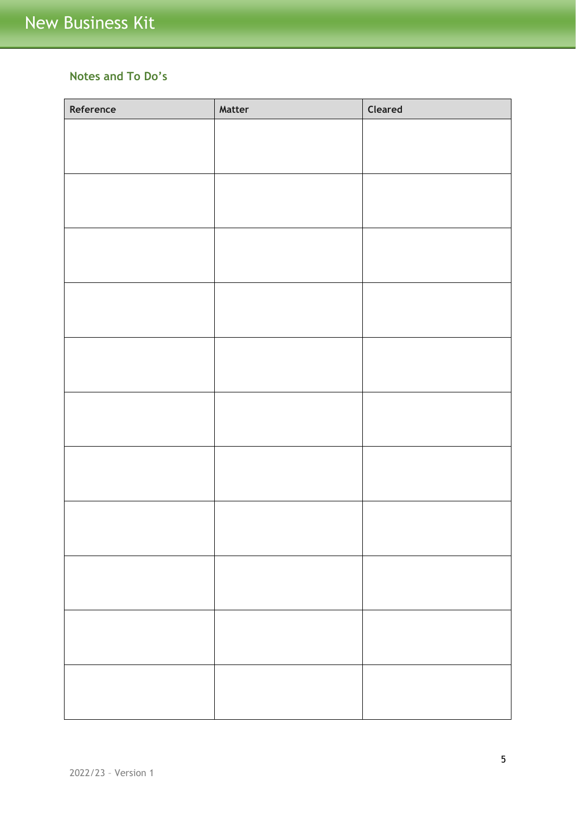# <span id="page-4-0"></span>**Notes and To Do's**

| Reference | Matter | Cleared |
|-----------|--------|---------|
|           |        |         |
|           |        |         |
|           |        |         |
|           |        |         |
|           |        |         |
|           |        |         |
|           |        |         |
|           |        |         |
|           |        |         |
|           |        |         |
|           |        |         |
|           |        |         |
|           |        |         |
|           |        |         |
|           |        |         |
|           |        |         |
|           |        |         |
|           |        |         |
|           |        |         |
|           |        |         |
|           |        |         |
|           |        |         |
|           |        |         |
|           |        |         |
|           |        |         |
|           |        |         |
|           |        |         |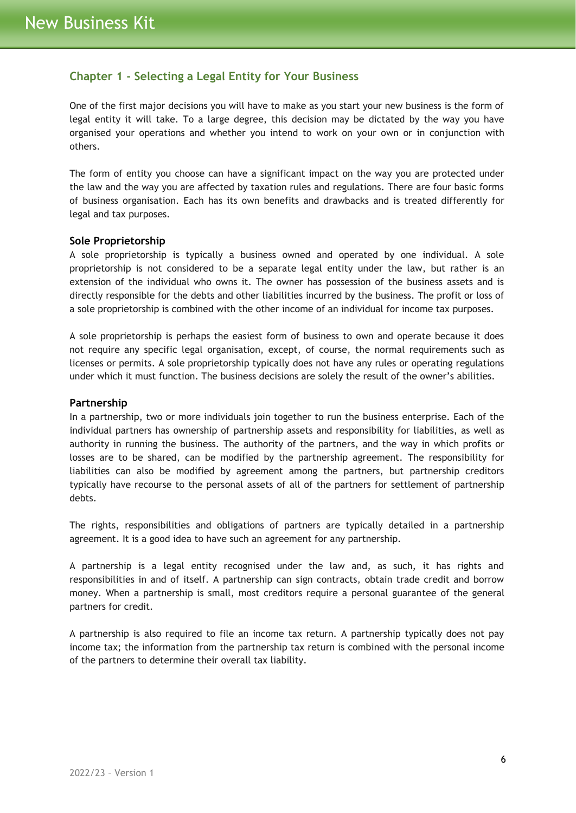# <span id="page-5-0"></span>**Chapter 1 - Selecting a Legal Entity for Your Business**

One of the first major decisions you will have to make as you start your new business is the form of legal entity it will take. To a large degree, this decision may be dictated by the way you have organised your operations and whether you intend to work on your own or in conjunction with others.

The form of entity you choose can have a significant impact on the way you are protected under the law and the way you are affected by taxation rules and regulations. There are four basic forms of business organisation. Each has its own benefits and drawbacks and is treated differently for legal and tax purposes.

#### <span id="page-5-1"></span>**Sole Proprietorship**

A sole proprietorship is typically a business owned and operated by one individual. A sole proprietorship is not considered to be a separate legal entity under the law, but rather is an extension of the individual who owns it. The owner has possession of the business assets and is directly responsible for the debts and other liabilities incurred by the business. The profit or loss of a sole proprietorship is combined with the other income of an individual for income tax purposes.

A sole proprietorship is perhaps the easiest form of business to own and operate because it does not require any specific legal organisation, except, of course, the normal requirements such as licenses or permits. A sole proprietorship typically does not have any rules or operating regulations under which it must function. The business decisions are solely the result of the owner's abilities.

#### <span id="page-5-2"></span>**Partnership**

In a partnership, two or more individuals join together to run the business enterprise. Each of the individual partners has ownership of partnership assets and responsibility for liabilities, as well as authority in running the business. The authority of the partners, and the way in which profits or losses are to be shared, can be modified by the partnership agreement. The responsibility for liabilities can also be modified by agreement among the partners, but partnership creditors typically have recourse to the personal assets of all of the partners for settlement of partnership debts.

The rights, responsibilities and obligations of partners are typically detailed in a partnership agreement. It is a good idea to have such an agreement for any partnership.

A partnership is a legal entity recognised under the law and, as such, it has rights and responsibilities in and of itself. A partnership can sign contracts, obtain trade credit and borrow money. When a partnership is small, most creditors require a personal guarantee of the general partners for credit.

A partnership is also required to file an income tax return. A partnership typically does not pay income tax; the information from the partnership tax return is combined with the personal income of the partners to determine their overall tax liability.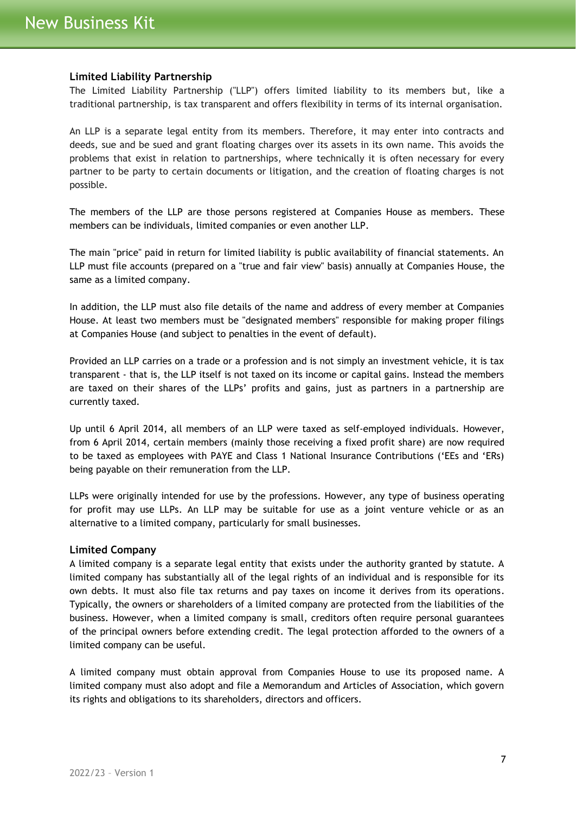## <span id="page-6-0"></span>**Limited Liability Partnership**

The Limited Liability Partnership ("LLP") offers limited liability to its members but, like a traditional partnership, is tax transparent and offers flexibility in terms of its internal organisation.

An LLP is a separate legal entity from its members. Therefore, it may enter into contracts and deeds, sue and be sued and grant floating charges over its assets in its own name. This avoids the problems that exist in relation to partnerships, where technically it is often necessary for every partner to be party to certain documents or litigation, and the creation of floating charges is not possible.

The members of the LLP are those persons registered at Companies House as members. These members can be individuals, limited companies or even another LLP.

The main "price" paid in return for limited liability is public availability of financial statements. An LLP must file accounts (prepared on a "true and fair view" basis) annually at Companies House, the same as a limited company.

In addition, the LLP must also file details of the name and address of every member at Companies House. At least two members must be "designated members" responsible for making proper filings at Companies House (and subject to penalties in the event of default).

Provided an LLP carries on a trade or a profession and is not simply an investment vehicle, it is tax transparent - that is, the LLP itself is not taxed on its income or capital gains. Instead the members are taxed on their shares of the LLPs' profits and gains, just as partners in a partnership are currently taxed.

Up until 6 April 2014, all members of an LLP were taxed as self-employed individuals. However, from 6 April 2014, certain members (mainly those receiving a fixed profit share) are now required to be taxed as employees with PAYE and Class 1 National Insurance Contributions ('EEs and 'ERs) being payable on their remuneration from the LLP.

LLPs were originally intended for use by the professions. However, any type of business operating for profit may use LLPs. An LLP may be suitable for use as a joint venture vehicle or as an alternative to a limited company, particularly for small businesses.

#### <span id="page-6-1"></span>**Limited Company**

A limited company is a separate legal entity that exists under the authority granted by statute. A limited company has substantially all of the legal rights of an individual and is responsible for its own debts. It must also file tax returns and pay taxes on income it derives from its operations. Typically, the owners or shareholders of a limited company are protected from the liabilities of the business. However, when a limited company is small, creditors often require personal guarantees of the principal owners before extending credit. The legal protection afforded to the owners of a limited company can be useful.

A limited company must obtain approval from Companies House to use its proposed name. A limited company must also adopt and file a Memorandum and Articles of Association, which govern its rights and obligations to its shareholders, directors and officers.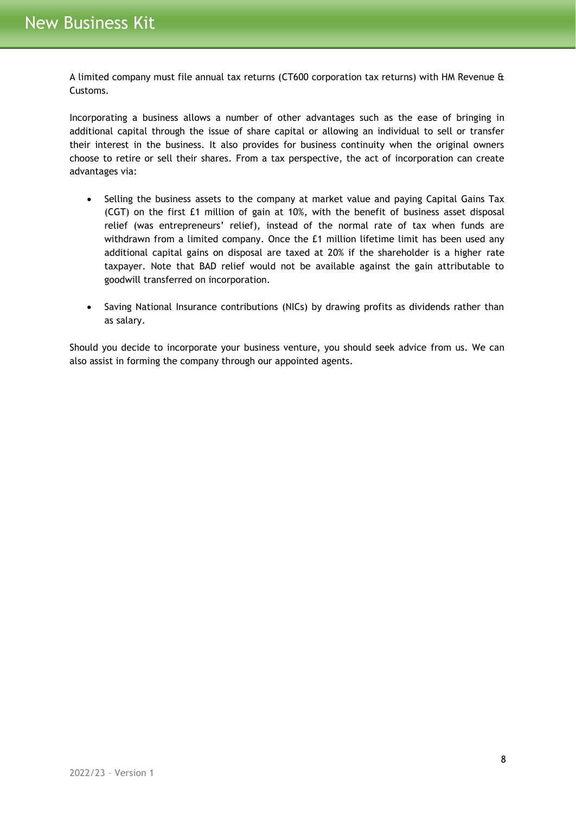A limited company must file annual tax returns (CT600 corporation tax returns) with HM Revenue & Customs.

Incorporating a business allows a number of other advantages such as the ease of bringing in additional capital through the issue of share capital or allowing an individual to sell or transfer their interest in the business. It also provides for business continuity when the original owners choose to retire or sell their shares. From a tax perspective, the act of incorporation can create advantages via:

- Selling the business assets to the company at market value and paying Capital Gains Tax (CGT) on the first £1 million of gain at 10%, with the benefit of business asset disposal relief (was entrepreneurs' relief), instead of the normal rate of tax when funds are withdrawn from a limited company. Once the £1 million lifetime limit has been used any additional capital gains on disposal are taxed at 20% if the shareholder is a higher rate taxpayer. Note that BAD relief would not be available against the gain attributable to goodwill transferred on incorporation.
- Saving National Insurance contributions (NICs) by drawing profits as dividends rather than as salary.

Should you decide to incorporate your business venture, you should seek advice from us. We can also assist in forming the company through our appointed agents.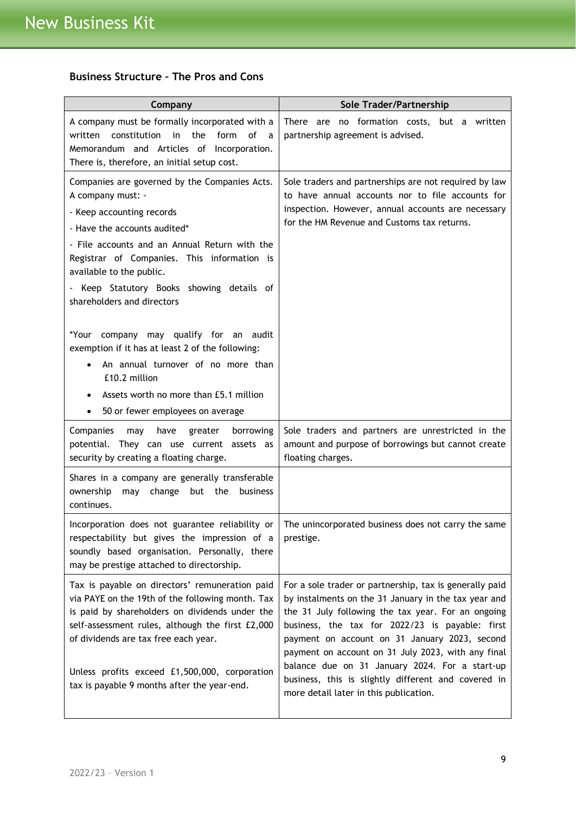# <span id="page-8-0"></span>**Business Structure – The Pros and Cons**

| Company                                                                                                                                                                                                                                                                                                                                                                                                                                                                                                                                                                   | Sole Trader/Partnership                                                                                                                                                                                                                                                                                                                                                                                                                                                            |
|---------------------------------------------------------------------------------------------------------------------------------------------------------------------------------------------------------------------------------------------------------------------------------------------------------------------------------------------------------------------------------------------------------------------------------------------------------------------------------------------------------------------------------------------------------------------------|------------------------------------------------------------------------------------------------------------------------------------------------------------------------------------------------------------------------------------------------------------------------------------------------------------------------------------------------------------------------------------------------------------------------------------------------------------------------------------|
| A company must be formally incorporated with a<br>written constitution<br>the<br>form<br>in<br>οf<br>a a<br>Memorandum and Articles of Incorporation.<br>There is, therefore, an initial setup cost.                                                                                                                                                                                                                                                                                                                                                                      | There are no formation costs, but a written<br>partnership agreement is advised.                                                                                                                                                                                                                                                                                                                                                                                                   |
| Companies are governed by the Companies Acts.<br>A company must: -<br>- Keep accounting records<br>- Have the accounts audited*<br>- File accounts and an Annual Return with the<br>Registrar of Companies. This information is<br>available to the public.<br>- Keep Statutory Books showing details of<br>shareholders and directors<br>*Your company may qualify for an audit<br>exemption if it has at least 2 of the following:<br>An annual turnover of no more than<br>£10.2 million<br>Assets worth no more than £5.1 million<br>50 or fewer employees on average | Sole traders and partnerships are not required by law<br>to have annual accounts nor to file accounts for<br>inspection. However, annual accounts are necessary<br>for the HM Revenue and Customs tax returns.                                                                                                                                                                                                                                                                     |
| Companies<br>may<br>have<br>borrowing<br>greater<br>potential. They can use current assets as<br>security by creating a floating charge.                                                                                                                                                                                                                                                                                                                                                                                                                                  | Sole traders and partners are unrestricted in the<br>amount and purpose of borrowings but cannot create<br>floating charges.                                                                                                                                                                                                                                                                                                                                                       |
| Shares in a company are generally transferable<br>ownership<br>may change but the<br>business<br>continues.                                                                                                                                                                                                                                                                                                                                                                                                                                                               |                                                                                                                                                                                                                                                                                                                                                                                                                                                                                    |
| respectability but gives the impression of a<br>soundly based organisation. Personally, there<br>may be prestige attached to directorship.                                                                                                                                                                                                                                                                                                                                                                                                                                | Incorporation does not guarantee reliability or $ $ The unincorporated business does not carry the same<br>prestige.                                                                                                                                                                                                                                                                                                                                                               |
| Tax is payable on directors' remuneration paid<br>via PAYE on the 19th of the following month. Tax<br>is paid by shareholders on dividends under the<br>self-assessment rules, although the first £2,000<br>of dividends are tax free each year.<br>Unless profits exceed £1,500,000, corporation<br>tax is payable 9 months after the year-end.                                                                                                                                                                                                                          | For a sole trader or partnership, tax is generally paid<br>by instalments on the 31 January in the tax year and<br>the 31 July following the tax year. For an ongoing<br>business, the tax for 2022/23 is payable: first<br>payment on account on 31 January 2023, second<br>payment on account on 31 July 2023, with any final<br>balance due on 31 January 2024. For a start-up<br>business, this is slightly different and covered in<br>more detail later in this publication. |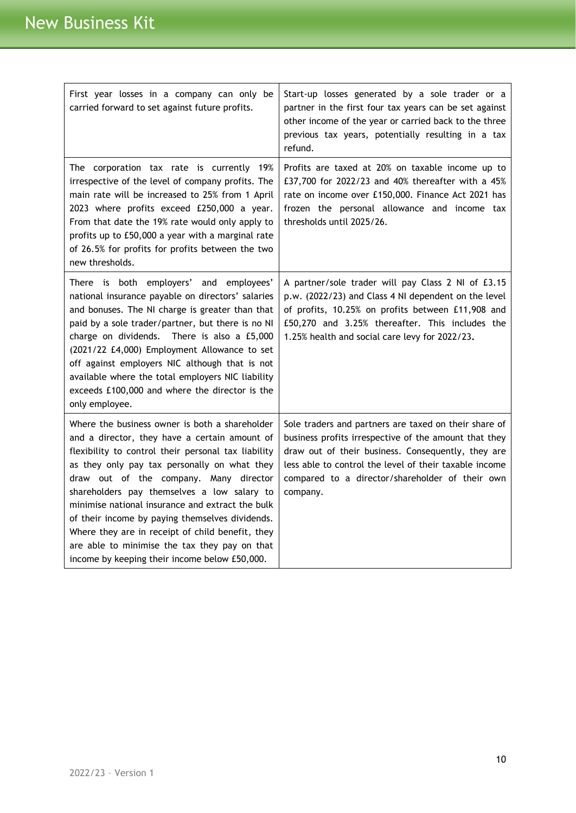| First year losses in a company can only be<br>carried forward to set against future profits.                                                                                                                                                                                                                                                                                                                                                                                                                                                                 | Start-up losses generated by a sole trader or a<br>partner in the first four tax years can be set against<br>other income of the year or carried back to the three<br>previous tax years, potentially resulting in a tax<br>refund.                                                           |
|--------------------------------------------------------------------------------------------------------------------------------------------------------------------------------------------------------------------------------------------------------------------------------------------------------------------------------------------------------------------------------------------------------------------------------------------------------------------------------------------------------------------------------------------------------------|-----------------------------------------------------------------------------------------------------------------------------------------------------------------------------------------------------------------------------------------------------------------------------------------------|
| The corporation tax rate is currently 19%<br>irrespective of the level of company profits. The<br>main rate will be increased to 25% from 1 April<br>2023 where profits exceed £250,000 a year.<br>From that date the 19% rate would only apply to<br>profits up to £50,000 a year with a marginal rate<br>of 26.5% for profits for profits between the two<br>new thresholds.                                                                                                                                                                               | Profits are taxed at 20% on taxable income up to<br>£37,700 for 2022/23 and 40% thereafter with a 45%<br>rate on income over £150,000. Finance Act 2021 has<br>frozen the personal allowance and income tax<br>thresholds until 2025/26.                                                      |
| There is both employers' and employees'<br>national insurance payable on directors' salaries<br>and bonuses. The NI charge is greater than that<br>paid by a sole trader/partner, but there is no NI<br>charge on dividends. There is also a £5,000<br>(2021/22 £4,000) Employment Allowance to set<br>off against employers NIC although that is not<br>available where the total employers NIC liability<br>exceeds £100,000 and where the director is the<br>only employee.                                                                               | A partner/sole trader will pay Class 2 NI of £3.15<br>p.w. (2022/23) and Class 4 NI dependent on the level<br>of profits, 10.25% on profits between £11,908 and<br>£50,270 and 3.25% thereafter. This includes the<br>1.25% health and social care levy for 2022/23.                          |
| Where the business owner is both a shareholder<br>and a director, they have a certain amount of<br>flexibility to control their personal tax liability<br>as they only pay tax personally on what they<br>draw out of the company. Many director<br>shareholders pay themselves a low salary to<br>minimise national insurance and extract the bulk<br>of their income by paying themselves dividends.<br>Where they are in receipt of child benefit, they<br>are able to minimise the tax they pay on that<br>income by keeping their income below £50,000. | Sole traders and partners are taxed on their share of<br>business profits irrespective of the amount that they<br>draw out of their business. Consequently, they are<br>less able to control the level of their taxable income<br>compared to a director/shareholder of their own<br>company. |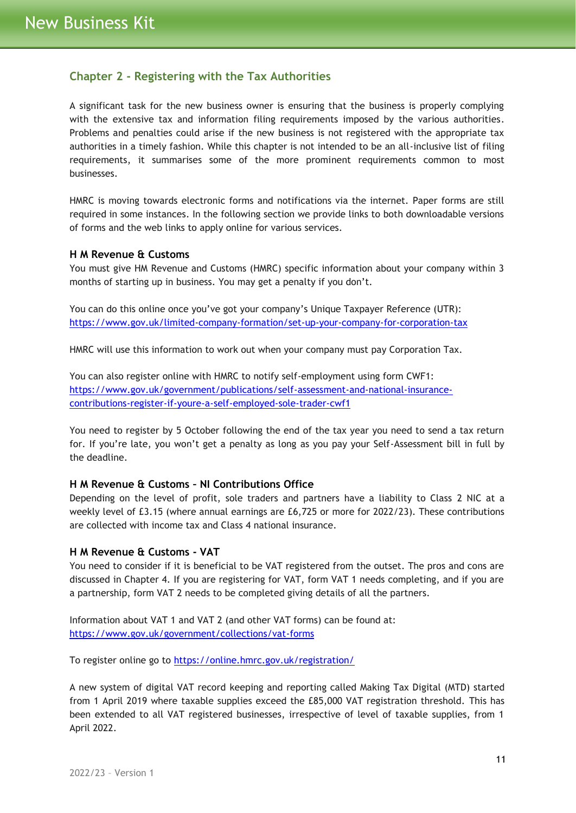# <span id="page-10-0"></span>**Chapter 2 - Registering with the Tax Authorities**

A significant task for the new business owner is ensuring that the business is properly complying with the extensive tax and information filing requirements imposed by the various authorities. Problems and penalties could arise if the new business is not registered with the appropriate tax authorities in a timely fashion. While this chapter is not intended to be an all-inclusive list of filing requirements, it summarises some of the more prominent requirements common to most businesses.

HMRC is moving towards electronic forms and notifications via the internet. Paper forms are still required in some instances. In the following section we provide links to both downloadable versions of forms and the web links to apply online for various services.

#### <span id="page-10-1"></span>**H M Revenue & Customs**

You must give HM Revenue and Customs (HMRC) specific information about your company within 3 months of starting up in business. You may get a penalty if you don't.

You can do this online once you've got your company's Unique Taxpayer Reference (UTR): <https://www.gov.uk/limited-company-formation/set-up-your-company-for-corporation-tax>

HMRC will use this information to work out when your company must pay Corporation Tax.

You can also register online with HMRC to notify self-employment using form CWF1: [https://www.gov.uk/government/publications/self-assessment-and-national-insurance](https://www.gov.uk/government/publications/self-assessment-and-national-insurance-contributions-register-if-youre-a-self-employed-sole-trader-cwf1)[contributions-register-if-youre-a-self-employed-sole-trader-cwf1](https://www.gov.uk/government/publications/self-assessment-and-national-insurance-contributions-register-if-youre-a-self-employed-sole-trader-cwf1)

You need to register by 5 October following the end of the tax year you need to send a tax return for. If you're late, you won't get a penalty as long as you pay your Self-Assessment bill in full by the deadline.

# <span id="page-10-2"></span>**H M Revenue & Customs – NI Contributions Office**

Depending on the level of profit, sole traders and partners have a liability to Class 2 NIC at a weekly level of £3.15 (where annual earnings are £6,725 or more for 2022/23). These contributions are collected with income tax and Class 4 national insurance.

#### <span id="page-10-3"></span>**H M Revenue & Customs - VAT**

You need to consider if it is beneficial to be VAT registered from the outset. The pros and cons are discussed in Chapter 4. If you are registering for VAT, form VAT 1 needs completing, and if you are a partnership, form VAT 2 needs to be completed giving details of all the partners.

Information about VAT 1 and VAT 2 (and other VAT forms) can be found at: <https://www.gov.uk/government/collections/vat-forms>

To register online go to<https://online.hmrc.gov.uk/registration/>

A new system of digital VAT record keeping and reporting called Making Tax Digital (MTD) started from 1 April 2019 where taxable supplies exceed the £85,000 VAT registration threshold. This has been extended to all VAT registered businesses, irrespective of level of taxable supplies, from 1 April 2022.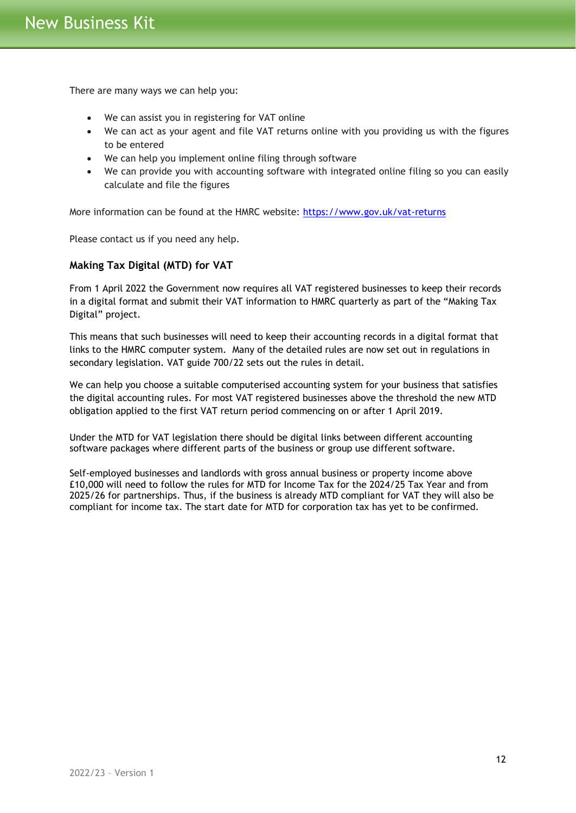There are many ways we can help you:

- We can assist you in registering for VAT online
- We can act as your agent and file VAT returns online with you providing us with the figures to be entered
- We can help you implement online filing through software
- We can provide you with accounting software with integrated online filing so you can easily calculate and file the figures

More information can be found at the HMRC website:<https://www.gov.uk/vat-returns>

Please contact us if you need any help.

## **Making Tax Digital (MTD) for VAT**

From 1 April 2022 the Government now requires all VAT registered businesses to keep their records in a digital format and submit their VAT information to HMRC quarterly as part of the "Making Tax Digital" project.

This means that such businesses will need to keep their accounting records in a digital format that links to the HMRC computer system. Many of the detailed rules are now set out in regulations in secondary legislation. VAT guide 700/22 sets out the rules in detail.

We can help you choose a suitable computerised accounting system for your business that satisfies the digital accounting rules. For most VAT registered businesses above the threshold the new MTD obligation applied to the first VAT return period commencing on or after 1 April 2019.

Under the MTD for VAT legislation there should be digital links between different accounting software packages where different parts of the business or group use different software.

Self-employed businesses and landlords with gross annual business or property income above £10,000 will need to follow the rules for MTD for Income Tax for the 2024/25 Tax Year and from 2025/26 for partnerships. Thus, if the business is already MTD compliant for VAT they will also be compliant for income tax. The start date for MTD for corporation tax has yet to be confirmed.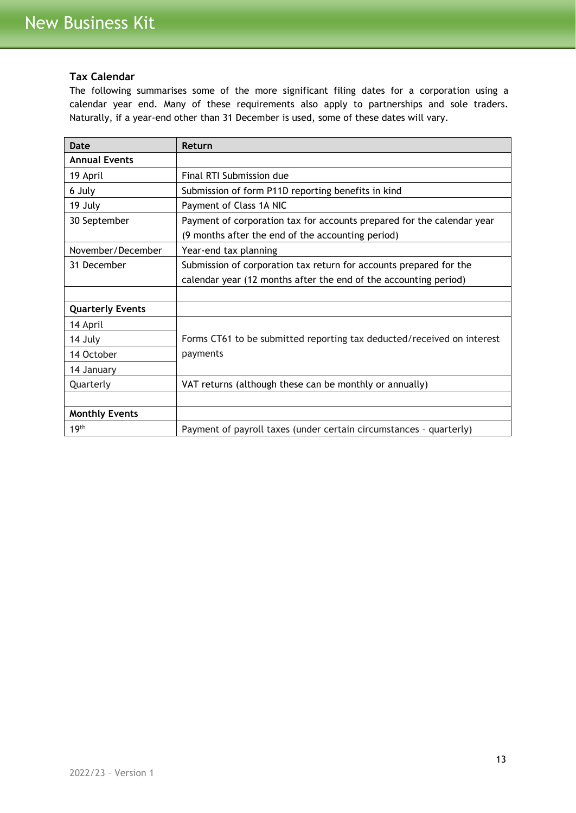## <span id="page-12-0"></span>**Tax Calendar**

The following summarises some of the more significant filing dates for a corporation using a calendar year end. Many of these requirements also apply to partnerships and sole traders. Naturally, if a year-end other than 31 December is used, some of these dates will vary.

| Date                    | Return                                                                 |
|-------------------------|------------------------------------------------------------------------|
| <b>Annual Events</b>    |                                                                        |
| 19 April                | Final RTI Submission due                                               |
| 6 July                  | Submission of form P11D reporting benefits in kind                     |
| 19 July                 | Payment of Class 1A NIC                                                |
| 30 September            | Payment of corporation tax for accounts prepared for the calendar year |
|                         | (9 months after the end of the accounting period)                      |
| November/December       | Year-end tax planning                                                  |
| 31 December             | Submission of corporation tax return for accounts prepared for the     |
|                         | calendar year (12 months after the end of the accounting period)       |
|                         |                                                                        |
| <b>Quarterly Events</b> |                                                                        |
| 14 April                |                                                                        |
| 14 July                 | Forms CT61 to be submitted reporting tax deducted/received on interest |
| 14 October              | payments                                                               |
| 14 January              |                                                                        |
| Quarterly               | VAT returns (although these can be monthly or annually)                |
|                         |                                                                        |
| <b>Monthly Events</b>   |                                                                        |
| 19 <sup>th</sup>        | Payment of payroll taxes (under certain circumstances - quarterly)     |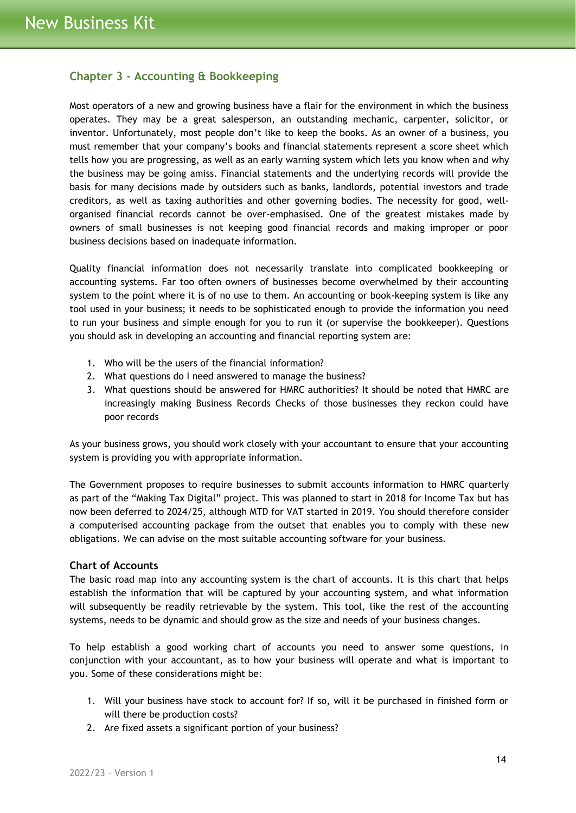# <span id="page-13-0"></span>**Chapter 3 - Accounting & Bookkeeping**

Most operators of a new and growing business have a flair for the environment in which the business operates. They may be a great salesperson, an outstanding mechanic, carpenter, solicitor, or inventor. Unfortunately, most people don't like to keep the books. As an owner of a business, you must remember that your company's books and financial statements represent a score sheet which tells how you are progressing, as well as an early warning system which lets you know when and why the business may be going amiss. Financial statements and the underlying records will provide the basis for many decisions made by outsiders such as banks, landlords, potential investors and trade creditors, as well as taxing authorities and other governing bodies. The necessity for good, wellorganised financial records cannot be over-emphasised. One of the greatest mistakes made by owners of small businesses is not keeping good financial records and making improper or poor business decisions based on inadequate information.

Quality financial information does not necessarily translate into complicated bookkeeping or accounting systems. Far too often owners of businesses become overwhelmed by their accounting system to the point where it is of no use to them. An accounting or book-keeping system is like any tool used in your business; it needs to be sophisticated enough to provide the information you need to run your business and simple enough for you to run it (or supervise the bookkeeper). Questions you should ask in developing an accounting and financial reporting system are:

- 1. Who will be the users of the financial information?
- 2. What questions do I need answered to manage the business?
- 3. What questions should be answered for HMRC authorities? It should be noted that HMRC are increasingly making Business Records Checks of those businesses they reckon could have poor records

As your business grows, you should work closely with your accountant to ensure that your accounting system is providing you with appropriate information.

The Government proposes to require businesses to submit accounts information to HMRC quarterly as part of the "Making Tax Digital" project. This was planned to start in 2018 for Income Tax but has now been deferred to 2024/25, although MTD for VAT started in 2019. You should therefore consider a computerised accounting package from the outset that enables you to comply with these new obligations. We can advise on the most suitable accounting software for your business.

## <span id="page-13-1"></span>**Chart of Accounts**

The basic road map into any accounting system is the chart of accounts. It is this chart that helps establish the information that will be captured by your accounting system, and what information will subsequently be readily retrievable by the system. This tool, like the rest of the accounting systems, needs to be dynamic and should grow as the size and needs of your business changes.

To help establish a good working chart of accounts you need to answer some questions, in conjunction with your accountant, as to how your business will operate and what is important to you. Some of these considerations might be:

- 1. Will your business have stock to account for? If so, will it be purchased in finished form or will there be production costs?
- 2. Are fixed assets a significant portion of your business?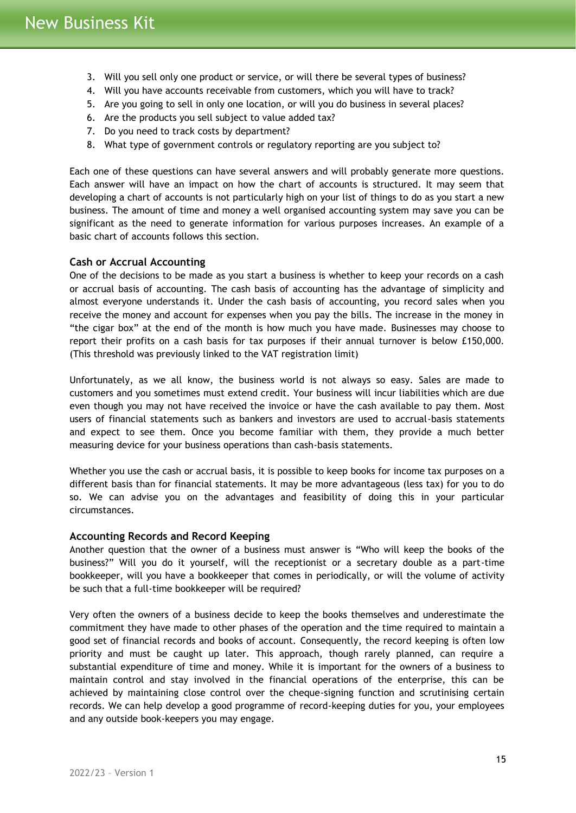- 3. Will you sell only one product or service, or will there be several types of business?
- 4. Will you have accounts receivable from customers, which you will have to track?
- 5. Are you going to sell in only one location, or will you do business in several places?
- 6. Are the products you sell subject to value added tax?
- 7. Do you need to track costs by department?
- 8. What type of government controls or regulatory reporting are you subject to?

Each one of these questions can have several answers and will probably generate more questions. Each answer will have an impact on how the chart of accounts is structured. It may seem that developing a chart of accounts is not particularly high on your list of things to do as you start a new business. The amount of time and money a well organised accounting system may save you can be significant as the need to generate information for various purposes increases. An example of a basic chart of accounts follows this section.

## <span id="page-14-0"></span>**Cash or Accrual Accounting**

One of the decisions to be made as you start a business is whether to keep your records on a cash or accrual basis of accounting. The cash basis of accounting has the advantage of simplicity and almost everyone understands it. Under the cash basis of accounting, you record sales when you receive the money and account for expenses when you pay the bills. The increase in the money in "the cigar box" at the end of the month is how much you have made. Businesses may choose to report their profits on a cash basis for tax purposes if their annual turnover is below £150,000. (This threshold was previously linked to the VAT registration limit)

Unfortunately, as we all know, the business world is not always so easy. Sales are made to customers and you sometimes must extend credit. Your business will incur liabilities which are due even though you may not have received the invoice or have the cash available to pay them. Most users of financial statements such as bankers and investors are used to accrual-basis statements and expect to see them. Once you become familiar with them, they provide a much better measuring device for your business operations than cash-basis statements.

Whether you use the cash or accrual basis, it is possible to keep books for income tax purposes on a different basis than for financial statements. It may be more advantageous (less tax) for you to do so. We can advise you on the advantages and feasibility of doing this in your particular circumstances.

#### <span id="page-14-1"></span>**Accounting Records and Record Keeping**

Another question that the owner of a business must answer is "Who will keep the books of the business?" Will you do it yourself, will the receptionist or a secretary double as a part-time bookkeeper, will you have a bookkeeper that comes in periodically, or will the volume of activity be such that a full-time bookkeeper will be required?

Very often the owners of a business decide to keep the books themselves and underestimate the commitment they have made to other phases of the operation and the time required to maintain a good set of financial records and books of account. Consequently, the record keeping is often low priority and must be caught up later. This approach, though rarely planned, can require a substantial expenditure of time and money. While it is important for the owners of a business to maintain control and stay involved in the financial operations of the enterprise, this can be achieved by maintaining close control over the cheque-signing function and scrutinising certain records. We can help develop a good programme of record-keeping duties for you, your employees and any outside book-keepers you may engage.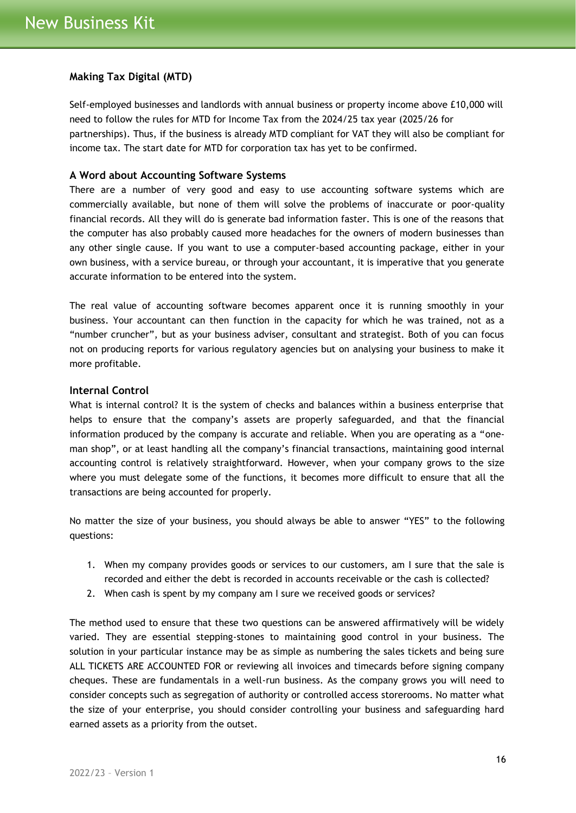## <span id="page-15-0"></span>**Making Tax Digital (MTD)**

Self-employed businesses and landlords with annual business or property income above £10,000 will need to follow the rules for MTD for Income Tax from the 2024/25 tax year (2025/26 for partnerships). Thus, if the business is already MTD compliant for VAT they will also be compliant for income tax. The start date for MTD for corporation tax has yet to be confirmed.

#### <span id="page-15-1"></span>**A Word about Accounting Software Systems**

There are a number of very good and easy to use accounting software systems which are commercially available, but none of them will solve the problems of inaccurate or poor-quality financial records. All they will do is generate bad information faster. This is one of the reasons that the computer has also probably caused more headaches for the owners of modern businesses than any other single cause. If you want to use a computer-based accounting package, either in your own business, with a service bureau, or through your accountant, it is imperative that you generate accurate information to be entered into the system.

The real value of accounting software becomes apparent once it is running smoothly in your business. Your accountant can then function in the capacity for which he was trained, not as a "number cruncher", but as your business adviser, consultant and strategist. Both of you can focus not on producing reports for various regulatory agencies but on analysing your business to make it more profitable.

## <span id="page-15-2"></span>**Internal Control**

What is internal control? It is the system of checks and balances within a business enterprise that helps to ensure that the company's assets are properly safeguarded, and that the financial information produced by the company is accurate and reliable. When you are operating as a "oneman shop", or at least handling all the company's financial transactions, maintaining good internal accounting control is relatively straightforward. However, when your company grows to the size where you must delegate some of the functions, it becomes more difficult to ensure that all the transactions are being accounted for properly.

No matter the size of your business, you should always be able to answer "YES" to the following questions:

- 1. When my company provides goods or services to our customers, am I sure that the sale is recorded and either the debt is recorded in accounts receivable or the cash is collected?
- 2. When cash is spent by my company am I sure we received goods or services?

The method used to ensure that these two questions can be answered affirmatively will be widely varied. They are essential stepping-stones to maintaining good control in your business. The solution in your particular instance may be as simple as numbering the sales tickets and being sure ALL TICKETS ARE ACCOUNTED FOR or reviewing all invoices and timecards before signing company cheques. These are fundamentals in a well-run business. As the company grows you will need to consider concepts such as segregation of authority or controlled access storerooms. No matter what the size of your enterprise, you should consider controlling your business and safeguarding hard earned assets as a priority from the outset.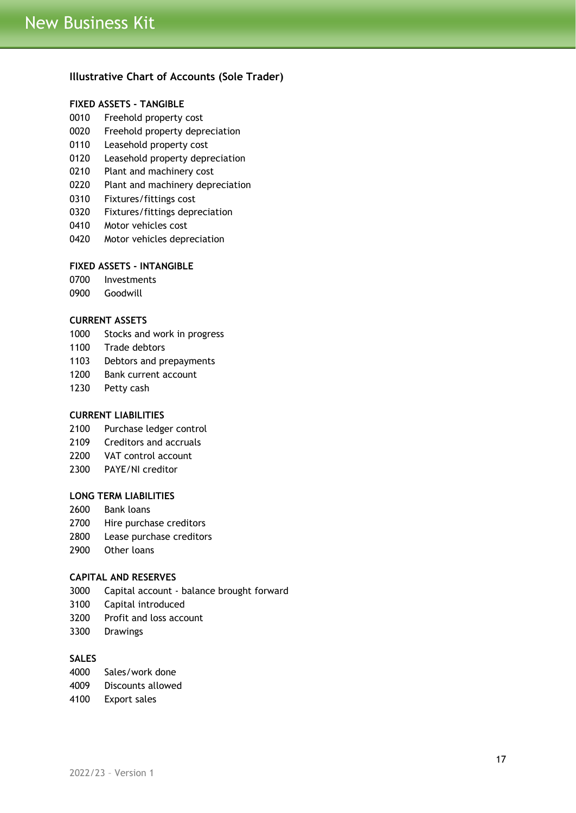## <span id="page-16-0"></span>**Illustrative Chart of Accounts (Sole Trader)**

## **FIXED ASSETS - TANGIBLE**

- Freehold property cost
- Freehold property depreciation
- Leasehold property cost
- Leasehold property depreciation
- Plant and machinery cost
- Plant and machinery depreciation
- Fixtures/fittings cost
- Fixtures/fittings depreciation
- Motor vehicles cost
- Motor vehicles depreciation

## **FIXED ASSETS - INTANGIBLE**

- Investments
- Goodwill

#### **CURRENT ASSETS**

- Stocks and work in progress
- Trade debtors
- Debtors and prepayments
- Bank current account
- Petty cash

#### **CURRENT LIABILITIES**

- Purchase ledger control
- Creditors and accruals
- VAT control account
- PAYE/NI creditor

#### **LONG TERM LIABILITIES**

- Bank loans
- Hire purchase creditors
- Lease purchase creditors
- Other loans

## **CAPITAL AND RESERVES**

- Capital account balance brought forward
- Capital introduced
- Profit and loss account
- Drawings

## **SALES**

- Sales/work done
- Discounts allowed
- Export sales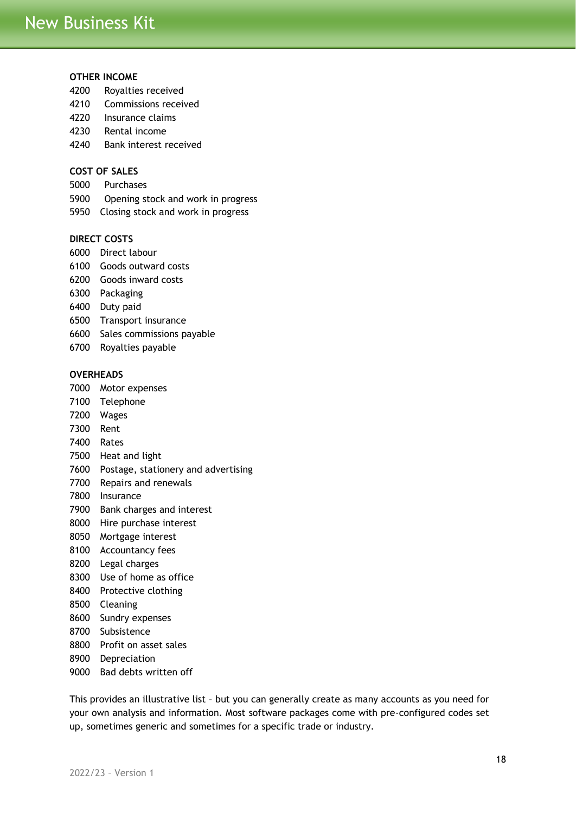## **OTHER INCOME**

- Royalties received
- Commissions received
- Insurance claims
- Rental income
- Bank interest received

## **COST OF SALES**

- Purchases
- Opening stock and work in progress
- Closing stock and work in progress

#### **DIRECT COSTS**

- Direct labour
- Goods outward costs
- Goods inward costs
- Packaging
- Duty paid
- Transport insurance
- Sales commissions payable
- Royalties payable

## **OVERHEADS**

- Motor expenses
- Telephone
- Wages
- Rent
- Rates
- Heat and light
- Postage, stationery and advertising
- Repairs and renewals
- Insurance
- Bank charges and interest
- Hire purchase interest
- Mortgage interest
- Accountancy fees
- Legal charges
- Use of home as office
- Protective clothing
- Cleaning
- Sundry expenses
- Subsistence
- Profit on asset sales
- Depreciation
- Bad debts written off

This provides an illustrative list – but you can generally create as many accounts as you need for your own analysis and information. Most software packages come with pre-configured codes set up, sometimes generic and sometimes for a specific trade or industry.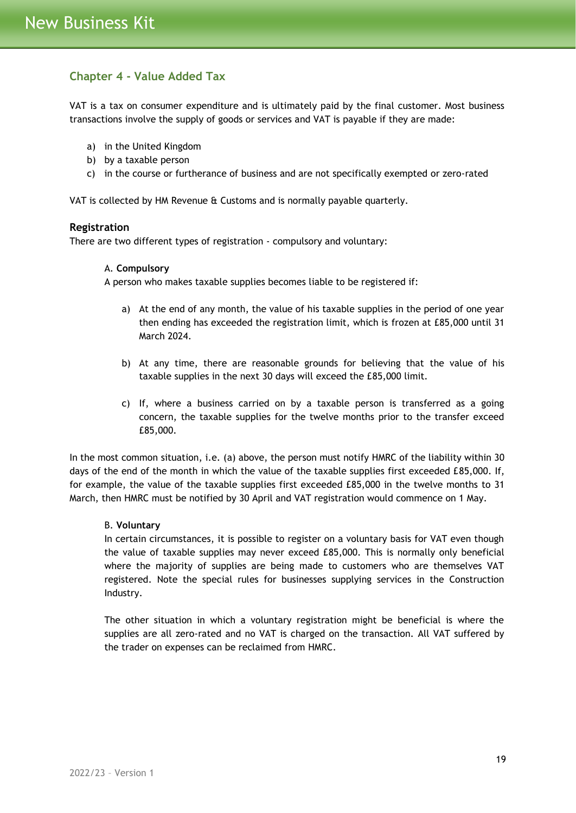# <span id="page-18-0"></span>**Chapter 4 - Value Added Tax**

VAT is a tax on consumer expenditure and is ultimately paid by the final customer. Most business transactions involve the supply of goods or services and VAT is payable if they are made:

- a) in the United Kingdom
- b) by a taxable person
- c) in the course or furtherance of business and are not specifically exempted or zero-rated

VAT is collected by HM Revenue & Customs and is normally payable quarterly.

#### <span id="page-18-1"></span>**Registration**

There are two different types of registration - compulsory and voluntary:

#### A. **Compulsory**

A person who makes taxable supplies becomes liable to be registered if:

- a) At the end of any month, the value of his taxable supplies in the period of one year then ending has exceeded the registration limit, which is frozen at £85,000 until 31 March 2024.
- b) At any time, there are reasonable grounds for believing that the value of his taxable supplies in the next 30 days will exceed the £85,000 limit.
- c) If, where a business carried on by a taxable person is transferred as a going concern, the taxable supplies for the twelve months prior to the transfer exceed £85,000.

In the most common situation, i.e. (a) above, the person must notify HMRC of the liability within 30 days of the end of the month in which the value of the taxable supplies first exceeded £85,000. If, for example, the value of the taxable supplies first exceeded £85,000 in the twelve months to 31 March, then HMRC must be notified by 30 April and VAT registration would commence on 1 May.

#### B. **Voluntary**

In certain circumstances, it is possible to register on a voluntary basis for VAT even though the value of taxable supplies may never exceed £85,000. This is normally only beneficial where the majority of supplies are being made to customers who are themselves VAT registered. Note the special rules for businesses supplying services in the Construction Industry.

The other situation in which a voluntary registration might be beneficial is where the supplies are all zero-rated and no VAT is charged on the transaction. All VAT suffered by the trader on expenses can be reclaimed from HMRC.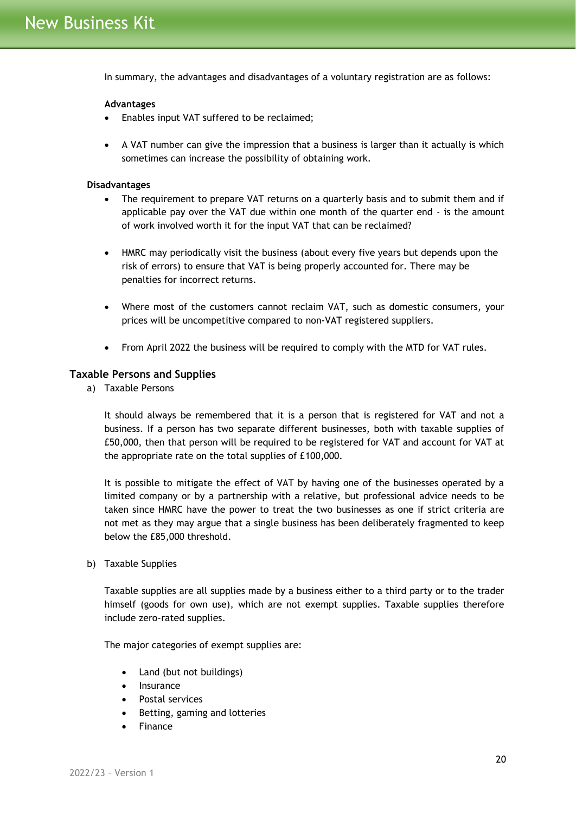In summary, the advantages and disadvantages of a voluntary registration are as follows:

#### **Advantages**

- Enables input VAT suffered to be reclaimed;
- A VAT number can give the impression that a business is larger than it actually is which sometimes can increase the possibility of obtaining work.

#### **Disadvantages**

- The requirement to prepare VAT returns on a quarterly basis and to submit them and if applicable pay over the VAT due within one month of the quarter end - is the amount of work involved worth it for the input VAT that can be reclaimed?
- HMRC may periodically visit the business (about every five years but depends upon the risk of errors) to ensure that VAT is being properly accounted for. There may be penalties for incorrect returns.
- Where most of the customers cannot reclaim VAT, such as domestic consumers, your prices will be uncompetitive compared to non-VAT registered suppliers.
- From April 2022 the business will be required to comply with the MTD for VAT rules.

## <span id="page-19-0"></span>**Taxable Persons and Supplies**

a) Taxable Persons

It should always be remembered that it is a person that is registered for VAT and not a business. If a person has two separate different businesses, both with taxable supplies of £50,000, then that person will be required to be registered for VAT and account for VAT at the appropriate rate on the total supplies of £100,000.

It is possible to mitigate the effect of VAT by having one of the businesses operated by a limited company or by a partnership with a relative, but professional advice needs to be taken since HMRC have the power to treat the two businesses as one if strict criteria are not met as they may argue that a single business has been deliberately fragmented to keep below the £85,000 threshold.

b) Taxable Supplies

Taxable supplies are all supplies made by a business either to a third party or to the trader himself (goods for own use), which are not exempt supplies. Taxable supplies therefore include zero-rated supplies.

The major categories of exempt supplies are:

- Land (but not buildings)
- **Insurance**
- Postal services
- Betting, gaming and lotteries
- Finance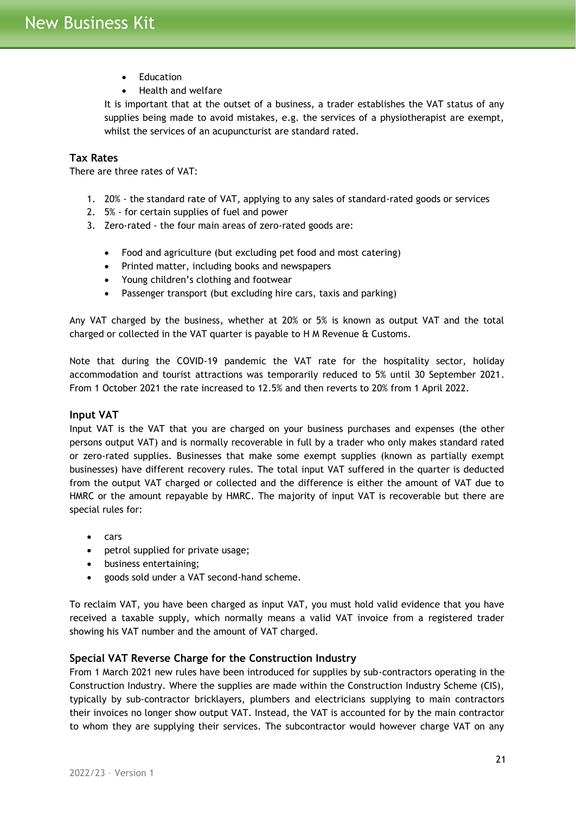- Education
- Health and welfare

It is important that at the outset of a business, a trader establishes the VAT status of any supplies being made to avoid mistakes, e.g. the services of a physiotherapist are exempt, whilst the services of an acupuncturist are standard rated.

## <span id="page-20-0"></span>**Tax Rates**

There are three rates of VAT:

- 1. 20% the standard rate of VAT, applying to any sales of standard-rated goods or services
- 2. 5% for certain supplies of fuel and power
- 3. Zero-rated the four main areas of zero-rated goods are:
	- Food and agriculture (but excluding pet food and most catering)
	- Printed matter, including books and newspapers
	- Young children's clothing and footwear
	- Passenger transport (but excluding hire cars, taxis and parking)

Any VAT charged by the business, whether at 20% or 5% is known as output VAT and the total charged or collected in the VAT quarter is payable to H M Revenue & Customs.

Note that during the COVID-19 pandemic the VAT rate for the hospitality sector, holiday accommodation and tourist attractions was temporarily reduced to 5% until 30 September 2021. From 1 October 2021 the rate increased to 12.5% and then reverts to 20% from 1 April 2022.

#### <span id="page-20-1"></span>**Input VAT**

Input VAT is the VAT that you are charged on your business purchases and expenses (the other persons output VAT) and is normally recoverable in full by a trader who only makes standard rated or zero-rated supplies. Businesses that make some exempt supplies (known as partially exempt businesses) have different recovery rules. The total input VAT suffered in the quarter is deducted from the output VAT charged or collected and the difference is either the amount of VAT due to HMRC or the amount repayable by HMRC. The majority of input VAT is recoverable but there are special rules for:

- cars
- petrol supplied for private usage;
- business entertaining;
- goods sold under a VAT second-hand scheme.

To reclaim VAT, you have been charged as input VAT, you must hold valid evidence that you have received a taxable supply, which normally means a valid VAT invoice from a registered trader showing his VAT number and the amount of VAT charged.

## <span id="page-20-2"></span>**Special VAT Reverse Charge for the Construction Industry**

From 1 March 2021 new rules have been introduced for supplies by sub-contractors operating in the Construction Industry. Where the supplies are made within the Construction Industry Scheme (CIS), typically by sub-contractor bricklayers, plumbers and electricians supplying to main contractors their invoices no longer show output VAT. Instead, the VAT is accounted for by the main contractor to whom they are supplying their services. The subcontractor would however charge VAT on any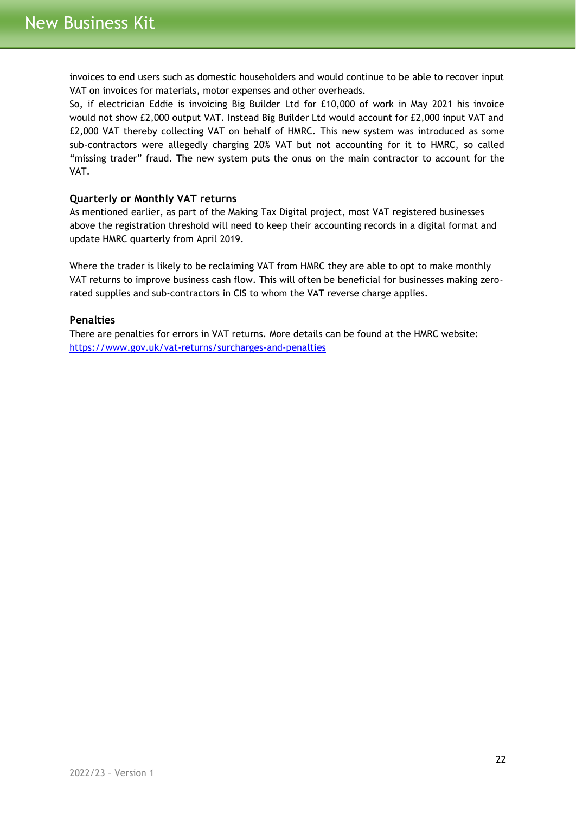invoices to end users such as domestic householders and would continue to be able to recover input VAT on invoices for materials, motor expenses and other overheads.

So, if electrician Eddie is invoicing Big Builder Ltd for £10,000 of work in May 2021 his invoice would not show £2,000 output VAT. Instead Big Builder Ltd would account for £2,000 input VAT and £2,000 VAT thereby collecting VAT on behalf of HMRC. This new system was introduced as some sub-contractors were allegedly charging 20% VAT but not accounting for it to HMRC, so called "missing trader" fraud. The new system puts the onus on the main contractor to account for the VAT.

## <span id="page-21-0"></span>**Quarterly or Monthly VAT returns**

As mentioned earlier, as part of the Making Tax Digital project, most VAT registered businesses above the registration threshold will need to keep their accounting records in a digital format and update HMRC quarterly from April 2019.

Where the trader is likely to be reclaiming VAT from HMRC they are able to opt to make monthly VAT returns to improve business cash flow. This will often be beneficial for businesses making zerorated supplies and sub-contractors in CIS to whom the VAT reverse charge applies.

#### <span id="page-21-1"></span>**Penalties**

There are penalties for errors in VAT returns. More details can be found at the HMRC website: <https://www.gov.uk/vat-returns/surcharges-and-penalties>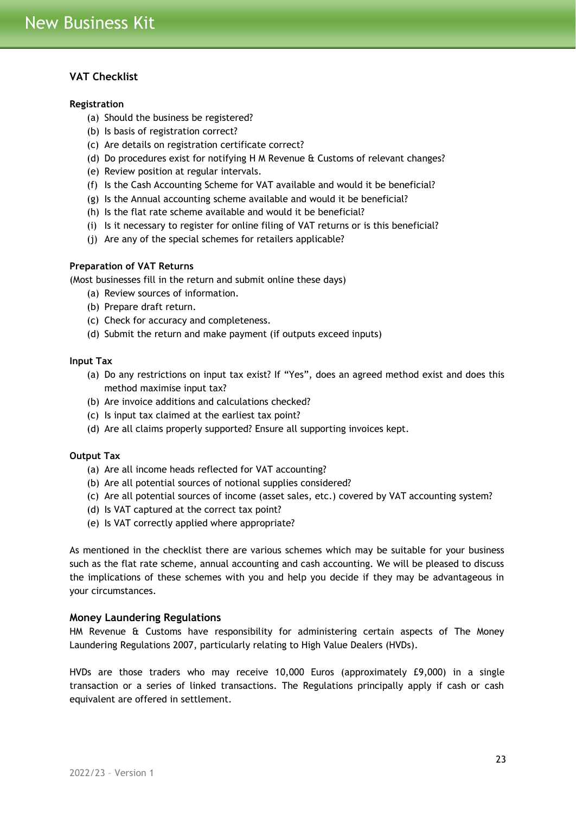## <span id="page-22-0"></span>**VAT Checklist**

#### **Registration**

- (a) Should the business be registered?
- (b) Is basis of registration correct?
- (c) Are details on registration certificate correct?
- (d) Do procedures exist for notifying H M Revenue & Customs of relevant changes?
- (e) Review position at regular intervals.
- (f) Is the Cash Accounting Scheme for VAT available and would it be beneficial?
- (g) Is the Annual accounting scheme available and would it be beneficial?
- (h) Is the flat rate scheme available and would it be beneficial?
- (i) Is it necessary to register for online filing of VAT returns or is this beneficial?
- (j) Are any of the special schemes for retailers applicable?

#### **Preparation of VAT Returns**

(Most businesses fill in the return and submit online these days)

- (a) Review sources of information.
- (b) Prepare draft return.
- (c) Check for accuracy and completeness.
- (d) Submit the return and make payment (if outputs exceed inputs)

#### **Input Tax**

- (a) Do any restrictions on input tax exist? If "Yes", does an agreed method exist and does this method maximise input tax?
- (b) Are invoice additions and calculations checked?
- (c) Is input tax claimed at the earliest tax point?
- (d) Are all claims properly supported? Ensure all supporting invoices kept.

## **Output Tax**

- (a) Are all income heads reflected for VAT accounting?
- (b) Are all potential sources of notional supplies considered?
- (c) Are all potential sources of income (asset sales, etc.) covered by VAT accounting system?
- (d) Is VAT captured at the correct tax point?
- (e) Is VAT correctly applied where appropriate?

As mentioned in the checklist there are various schemes which may be suitable for your business such as the flat rate scheme, annual accounting and cash accounting. We will be pleased to discuss the implications of these schemes with you and help you decide if they may be advantageous in your circumstances.

## <span id="page-22-1"></span>**Money Laundering Regulations**

HM Revenue & Customs have responsibility for administering certain aspects of The Money Laundering Regulations 2007, particularly relating to High Value Dealers (HVDs).

HVDs are those traders who may receive 10,000 Euros (approximately £9,000) in a single transaction or a series of linked transactions. The Regulations principally apply if cash or cash equivalent are offered in settlement.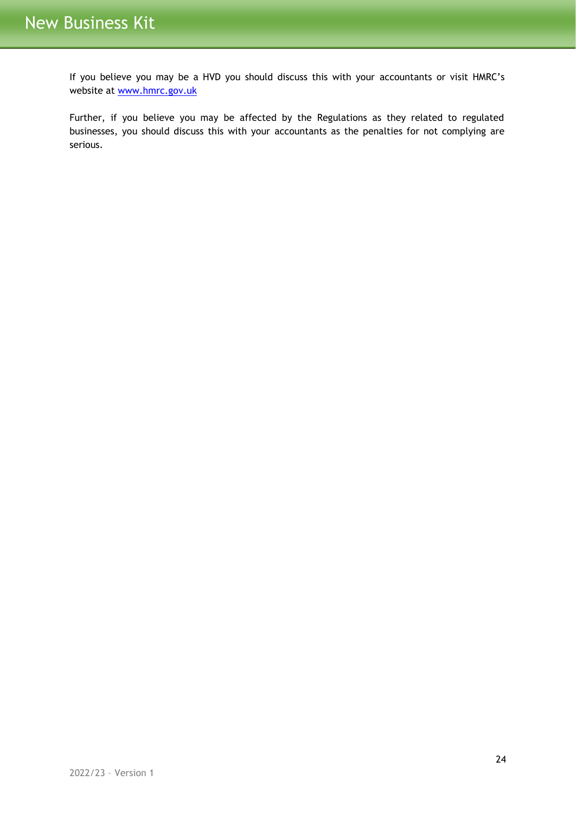If you believe you may be a HVD you should discuss this with your accountants or visit HMRC's website at [www.hmrc.gov.uk](http://www.hmrc.gov.uk/)

Further, if you believe you may be affected by the Regulations as they related to regulated businesses, you should discuss this with your accountants as the penalties for not complying are serious.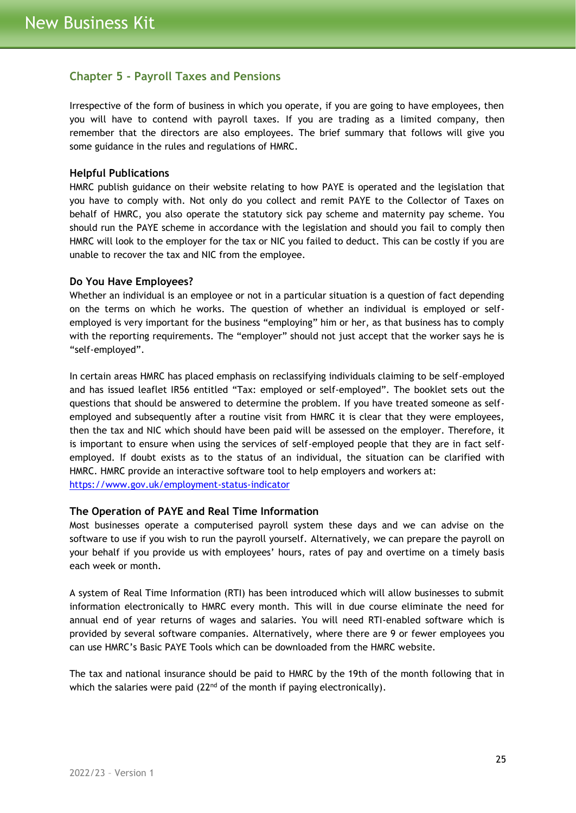# <span id="page-24-0"></span>**Chapter 5 - Payroll Taxes and Pensions**

Irrespective of the form of business in which you operate, if you are going to have employees, then you will have to contend with payroll taxes. If you are trading as a limited company, then remember that the directors are also employees. The brief summary that follows will give you some guidance in the rules and regulations of HMRC.

## <span id="page-24-1"></span>**Helpful Publications**

HMRC publish guidance on their website relating to how PAYE is operated and the legislation that you have to comply with. Not only do you collect and remit PAYE to the Collector of Taxes on behalf of HMRC, you also operate the statutory sick pay scheme and maternity pay scheme. You should run the PAYE scheme in accordance with the legislation and should you fail to comply then HMRC will look to the employer for the tax or NIC you failed to deduct. This can be costly if you are unable to recover the tax and NIC from the employee.

#### <span id="page-24-2"></span>**Do You Have Employees?**

Whether an individual is an employee or not in a particular situation is a question of fact depending on the terms on which he works. The question of whether an individual is employed or selfemployed is very important for the business "employing" him or her, as that business has to comply with the reporting requirements. The "employer" should not just accept that the worker says he is "self-employed".

In certain areas HMRC has placed emphasis on reclassifying individuals claiming to be self-employed and has issued leaflet IR56 entitled "Tax: employed or self-employed". The booklet sets out the questions that should be answered to determine the problem. If you have treated someone as selfemployed and subsequently after a routine visit from HMRC it is clear that they were employees, then the tax and NIC which should have been paid will be assessed on the employer. Therefore, it is important to ensure when using the services of self-employed people that they are in fact selfemployed. If doubt exists as to the status of an individual, the situation can be clarified with HMRC. HMRC provide an interactive software tool to help employers and workers at: <https://www.gov.uk/employment-status-indicator>

## <span id="page-24-3"></span>**The Operation of PAYE and Real Time Information**

Most businesses operate a computerised payroll system these days and we can advise on the software to use if you wish to run the payroll yourself. Alternatively, we can prepare the payroll on your behalf if you provide us with employees' hours, rates of pay and overtime on a timely basis each week or month.

A system of Real Time Information (RTI) has been introduced which will allow businesses to submit information electronically to HMRC every month. This will in due course eliminate the need for annual end of year returns of wages and salaries. You will need RTI-enabled software which is provided by several software companies. Alternatively, where there are 9 or fewer employees you can use HMRC's Basic PAYE Tools which can be downloaded from the HMRC website.

The tax and national insurance should be paid to HMRC by the 19th of the month following that in which the salaries were paid  $(22<sup>nd</sup>$  of the month if paying electronically).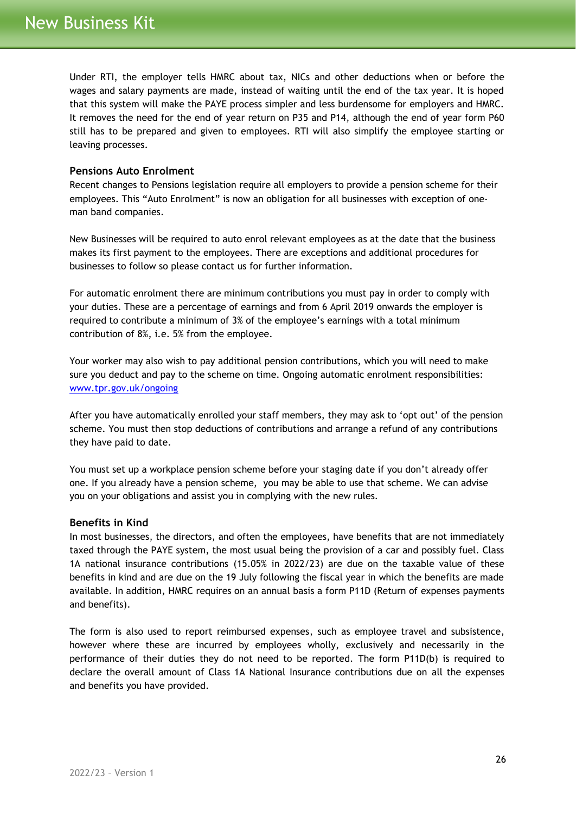Under RTI, the employer tells HMRC about tax, NICs and other deductions when or before the wages and salary payments are made, instead of waiting until the end of the tax year. It is hoped that this system will make the PAYE process simpler and less burdensome for employers and HMRC. It removes the need for the end of year return on P35 and P14, although the end of year form P60 still has to be prepared and given to employees. RTI will also simplify the employee starting or leaving processes.

## <span id="page-25-0"></span>**Pensions Auto Enrolment**

Recent changes to Pensions legislation require all employers to provide a pension scheme for their employees. This "Auto Enrolment" is now an obligation for all businesses with exception of oneman band companies.

New Businesses will be required to auto enrol relevant employees as at the date that the business makes its first payment to the employees. There are exceptions and additional procedures for businesses to follow so please contact us for further information.

For automatic enrolment there are minimum contributions you must pay in order to comply with your duties. These are a percentage of earnings and from 6 April 2019 onwards the employer is required to contribute a minimum of 3% of the employee's earnings with a total minimum contribution of 8%, i.e. 5% from the employee.

Your worker may also wish to pay additional pension contributions, which you will need to make sure you deduct and pay to the scheme on time. Ongoing automatic enrolment responsibilities: [www.tpr.gov.uk/ongoing](http://www.tpr.gov.uk/ongoing)

After you have automatically enrolled your staff members, they may ask to 'opt out' of the pension scheme. You must then stop deductions of contributions and arrange a refund of any contributions they have paid to date.

You must set up a workplace pension scheme before your staging date if you don't already offer one. If you already have a pension scheme, [you may be able to use that scheme.](http://www.thepensionsregulator.gov.uk/employers/explaining-qualifying-schemes.aspx) We can advise you on your obligations and assist you in complying with the new rules.

#### <span id="page-25-1"></span>**Benefits in Kind**

In most businesses, the directors, and often the employees, have benefits that are not immediately taxed through the PAYE system, the most usual being the provision of a car and possibly fuel. Class 1A national insurance contributions (15.05% in 2022/23) are due on the taxable value of these benefits in kind and are due on the 19 July following the fiscal year in which the benefits are made available. In addition, HMRC requires on an annual basis a form P11D (Return of expenses payments and benefits).

The form is also used to report reimbursed expenses, such as employee travel and subsistence, however where these are incurred by employees wholly, exclusively and necessarily in the performance of their duties they do not need to be reported. The form P11D(b) is required to declare the overall amount of Class 1A National Insurance contributions due on all the expenses and benefits you have provided.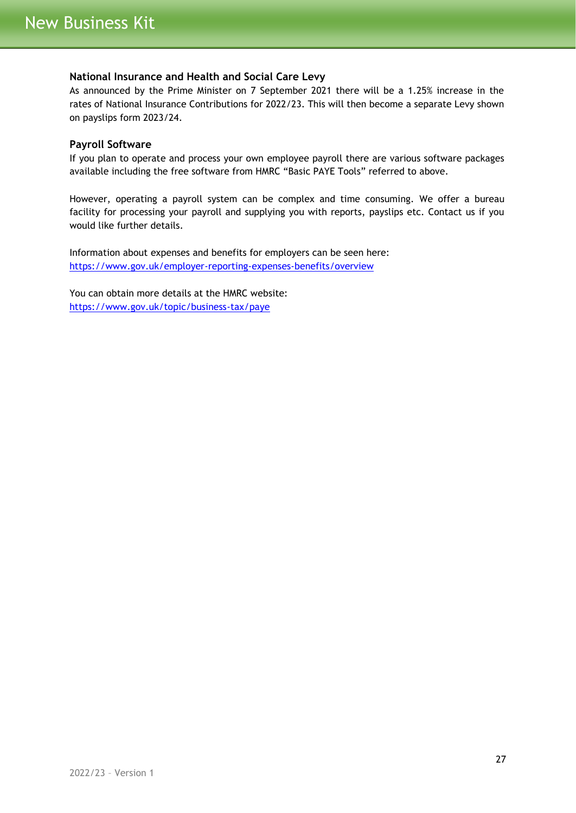## <span id="page-26-0"></span>**National Insurance and Health and Social Care Levy**

As announced by the Prime Minister on 7 September 2021 there will be a 1.25% increase in the rates of National Insurance Contributions for 2022/23. This will then become a separate Levy shown on payslips form 2023/24.

## <span id="page-26-1"></span>**Payroll Software**

If you plan to operate and process your own employee payroll there are various software packages available including the free software from HMRC "Basic PAYE Tools" referred to above.

However, operating a payroll system can be complex and time consuming. We offer a bureau facility for processing your payroll and supplying you with reports, payslips etc. Contact us if you would like further details.

Information about expenses and benefits for employers can be seen here: <https://www.gov.uk/employer-reporting-expenses-benefits/overview>

You can obtain more details at the HMRC website: <https://www.gov.uk/topic/business-tax/paye>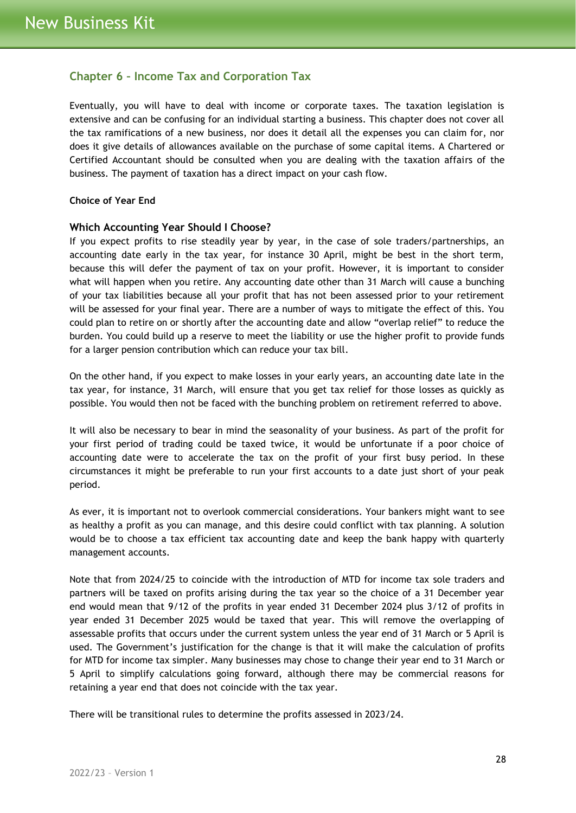# <span id="page-27-0"></span>**Chapter 6 – Income Tax and Corporation Tax**

Eventually, you will have to deal with income or corporate taxes. The taxation legislation is extensive and can be confusing for an individual starting a business. This chapter does not cover all the tax ramifications of a new business, nor does it detail all the expenses you can claim for, nor does it give details of allowances available on the purchase of some capital items. A Chartered or Certified Accountant should be consulted when you are dealing with the taxation affairs of the business. The payment of taxation has a direct impact on your cash flow.

#### **Choice of Year End**

#### <span id="page-27-1"></span>**Which Accounting Year Should I Choose?**

If you expect profits to rise steadily year by year, in the case of sole traders/partnerships, an accounting date early in the tax year, for instance 30 April, might be best in the short term, because this will defer the payment of tax on your profit. However, it is important to consider what will happen when you retire. Any accounting date other than 31 March will cause a bunching of your tax liabilities because all your profit that has not been assessed prior to your retirement will be assessed for your final year. There are a number of ways to mitigate the effect of this. You could plan to retire on or shortly after the accounting date and allow "overlap relief" to reduce the burden. You could build up a reserve to meet the liability or use the higher profit to provide funds for a larger pension contribution which can reduce your tax bill.

On the other hand, if you expect to make losses in your early years, an accounting date late in the tax year, for instance, 31 March, will ensure that you get tax relief for those losses as quickly as possible. You would then not be faced with the bunching problem on retirement referred to above.

It will also be necessary to bear in mind the seasonality of your business. As part of the profit for your first period of trading could be taxed twice, it would be unfortunate if a poor choice of accounting date were to accelerate the tax on the profit of your first busy period. In these circumstances it might be preferable to run your first accounts to a date just short of your peak period.

As ever, it is important not to overlook commercial considerations. Your bankers might want to see as healthy a profit as you can manage, and this desire could conflict with tax planning. A solution would be to choose a tax efficient tax accounting date and keep the bank happy with quarterly management accounts.

Note that from 2024/25 to coincide with the introduction of MTD for income tax sole traders and partners will be taxed on profits arising during the tax year so the choice of a 31 December year end would mean that 9/12 of the profits in year ended 31 December 2024 plus 3/12 of profits in year ended 31 December 2025 would be taxed that year. This will remove the overlapping of assessable profits that occurs under the current system unless the year end of 31 March or 5 April is used. The Government's justification for the change is that it will make the calculation of profits for MTD for income tax simpler. Many businesses may chose to change their year end to 31 March or 5 April to simplify calculations going forward, although there may be commercial reasons for retaining a year end that does not coincide with the tax year.

There will be transitional rules to determine the profits assessed in 2023/24.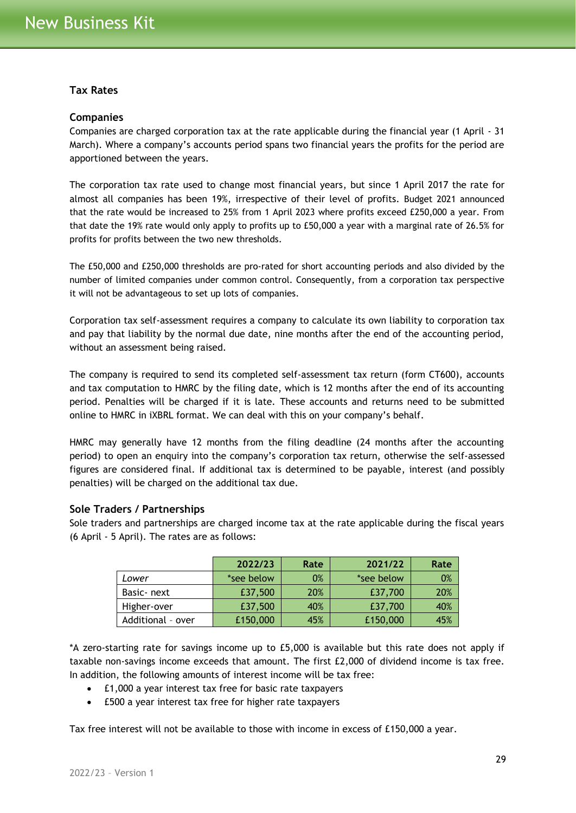## <span id="page-28-0"></span>**Tax Rates**

#### <span id="page-28-1"></span>**Companies**

Companies are charged corporation tax at the rate applicable during the financial year (1 April - 31 March). Where a company's accounts period spans two financial years the profits for the period are apportioned between the years.

The corporation tax rate used to change most financial years, but since 1 April 2017 the rate for almost all companies has been 19%, irrespective of their level of profits. Budget 2021 announced that the rate would be increased to 25% from 1 April 2023 where profits exceed £250,000 a year. From that date the 19% rate would only apply to profits up to £50,000 a year with a marginal rate of 26.5% for profits for profits between the two new thresholds.

The £50,000 and £250,000 thresholds are pro-rated for short accounting periods and also divided by the number of limited companies under common control. Consequently, from a corporation tax perspective it will not be advantageous to set up lots of companies.

Corporation tax self-assessment requires a company to calculate its own liability to corporation tax and pay that liability by the normal due date, nine months after the end of the accounting period, without an assessment being raised.

The company is required to send its completed self-assessment tax return (form CT600), accounts and tax computation to HMRC by the filing date, which is 12 months after the end of its accounting period. Penalties will be charged if it is late. These accounts and returns need to be submitted online to HMRC in iXBRL format. We can deal with this on your company's behalf.

HMRC may generally have 12 months from the filing deadline (24 months after the accounting period) to open an enquiry into the company's corporation tax return, otherwise the self-assessed figures are considered final. If additional tax is determined to be payable, interest (and possibly penalties) will be charged on the additional tax due.

## <span id="page-28-2"></span>**Sole Traders / Partnerships**

Sole traders and partnerships are charged income tax at the rate applicable during the fiscal years (6 April - 5 April). The rates are as follows:

|                   | 2022/23    | Rate | 2021/22    | Rate       |
|-------------------|------------|------|------------|------------|
| Lower             | *see below | 0%   | *see below | 0%         |
| Basic-next        | £37,500    | 20%  | £37,700    | <b>20%</b> |
| Higher-over       | £37,500    | 40%  | £37,700    | 40%        |
| Additional - over | £150,000   | 45%  | £150,000   |            |

\*A zero-starting rate for savings income up to £5,000 is available but this rate does not apply if taxable non-savings income exceeds that amount. The first £2,000 of dividend income is tax free. In addition, the following amounts of interest income will be tax free:

- £1,000 a year interest tax free for basic rate taxpayers
- £500 a year interest tax free for higher rate taxpayers

Tax free interest will not be available to those with income in excess of £150,000 a year.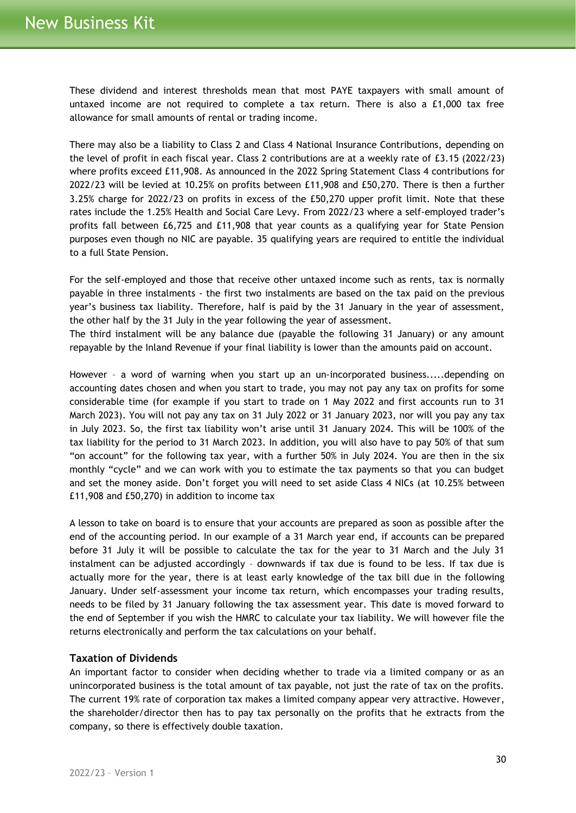These dividend and interest thresholds mean that most PAYE taxpayers with small amount of untaxed income are not required to complete a tax return. There is also a £1,000 tax free allowance for small amounts of rental or trading income.

There may also be a liability to Class 2 and Class 4 National Insurance Contributions, depending on the level of profit in each fiscal year. Class 2 contributions are at a weekly rate of £3.15 (2022/23) where profits exceed £11,908. As announced in the 2022 Spring Statement Class 4 contributions for 2022/23 will be levied at 10.25% on profits between £11,908 and £50,270. There is then a further 3.25% charge for 2022/23 on profits in excess of the £50,270 upper profit limit. Note that these rates include the 1.25% Health and Social Care Levy. From 2022/23 where a self-employed trader's profits fall between £6,725 and £11,908 that year counts as a qualifying year for State Pension purposes even though no NIC are payable. 35 qualifying years are required to entitle the individual to a full State Pension.

For the self-employed and those that receive other untaxed income such as rents, tax is normally payable in three instalments - the first two instalments are based on the tax paid on the previous year's business tax liability. Therefore, half is paid by the 31 January in the year of assessment, the other half by the 31 July in the year following the year of assessment.

The third instalment will be any balance due (payable the following 31 January) or any amount repayable by the Inland Revenue if your final liability is lower than the amounts paid on account.

However – a word of warning when you start up an un-incorporated business.....depending on accounting dates chosen and when you start to trade, you may not pay any tax on profits for some considerable time (for example if you start to trade on 1 May 2022 and first accounts run to 31 March 2023). You will not pay any tax on 31 July 2022 or 31 January 2023, nor will you pay any tax in July 2023. So, the first tax liability won't arise until 31 January 2024. This will be 100% of the tax liability for the period to 31 March 2023. In addition, you will also have to pay 50% of that sum "on account" for the following tax year, with a further 50% in July 2024. You are then in the six monthly "cycle" and we can work with you to estimate the tax payments so that you can budget and set the money aside. Don't forget you will need to set aside Class 4 NICs (at 10.25% between £11,908 and £50,270) in addition to income tax

A lesson to take on board is to ensure that your accounts are prepared as soon as possible after the end of the accounting period. In our example of a 31 March year end, if accounts can be prepared before 31 July it will be possible to calculate the tax for the year to 31 March and the July 31 instalment can be adjusted accordingly – downwards if tax due is found to be less. If tax due is actually more for the year, there is at least early knowledge of the tax bill due in the following January. Under self-assessment your income tax return, which encompasses your trading results, needs to be filed by 31 January following the tax assessment year. This date is moved forward to the end of September if you wish the HMRC to calculate your tax liability. We will however file the returns electronically and perform the tax calculations on your behalf.

## <span id="page-29-0"></span>**Taxation of Dividends**

An important factor to consider when deciding whether to trade via a limited company or as an unincorporated business is the total amount of tax payable, not just the rate of tax on the profits. The current 19% rate of corporation tax makes a limited company appear very attractive. However, the shareholder/director then has to pay tax personally on the profits that he extracts from the company, so there is effectively double taxation.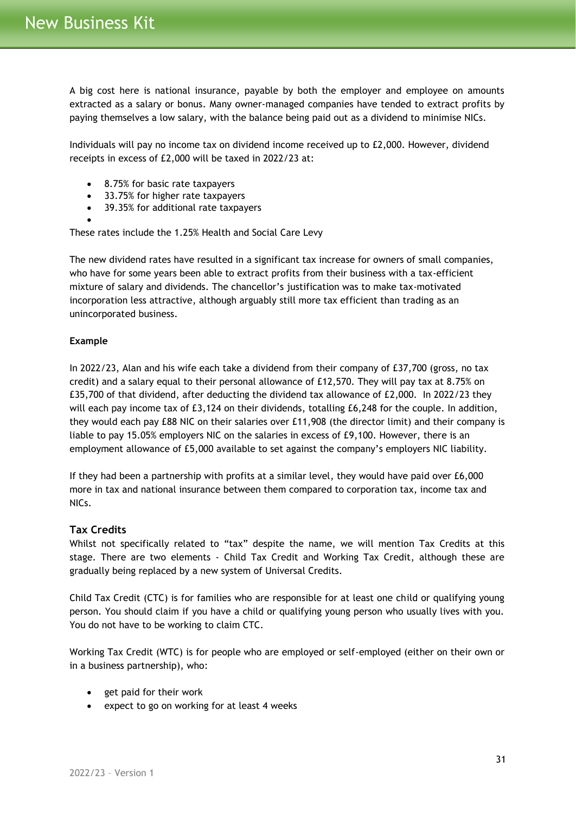A big cost here is national insurance, payable by both the employer and employee on amounts extracted as a salary or bonus. Many owner-managed companies have tended to extract profits by paying themselves a low salary, with the balance being paid out as a dividend to minimise NICs.

Individuals will pay no income tax on dividend income received up to £2,000. However, dividend receipts in excess of £2,000 will be taxed in 2022/23 at:

- 8.75% for basic rate taxpayers
- 33.75% for higher rate taxpayers
- 39.35% for additional rate taxpayers
- •

These rates include the 1.25% Health and Social Care Levy

The new dividend rates have resulted in a significant tax increase for owners of small companies, who have for some years been able to extract profits from their business with a tax-efficient mixture of salary and dividends. The chancellor's justification was to make tax-motivated incorporation less attractive, although arguably still more tax efficient than trading as an unincorporated business.

## **Example**

In 2022/23, Alan and his wife each take a dividend from their company of £37,700 (gross, no tax credit) and a salary equal to their personal allowance of £12,570. They will pay tax at 8.75% on £35,700 of that dividend, after deducting the dividend tax allowance of £2,000. In 2022/23 they will each pay income tax of £3,124 on their dividends, totalling £6,248 for the couple. In addition, they would each pay £88 NIC on their salaries over £11,908 (the director limit) and their company is liable to pay 15.05% employers NIC on the salaries in excess of £9,100. However, there is an employment allowance of £5,000 available to set against the company's employers NIC liability.

If they had been a partnership with profits at a similar level, they would have paid over £6,000 more in tax and national insurance between them compared to corporation tax, income tax and NICs.

## <span id="page-30-0"></span>**Tax Credits**

Whilst not specifically related to "tax" despite the name, we will mention Tax Credits at this stage. There are two elements - Child Tax Credit and Working Tax Credit, although these are gradually being replaced by a new system of Universal Credits.

Child Tax Credit (CTC) is for families who are responsible for at least one child or qualifying young person. You should claim if you have a child or qualifying young person who usually lives with you. You do not have to be working to claim CTC.

Working Tax Credit (WTC) is for people who are employed or self-employed (either on their own or in a business partnership), who:

- get paid for their work
- expect to go on working for at least 4 weeks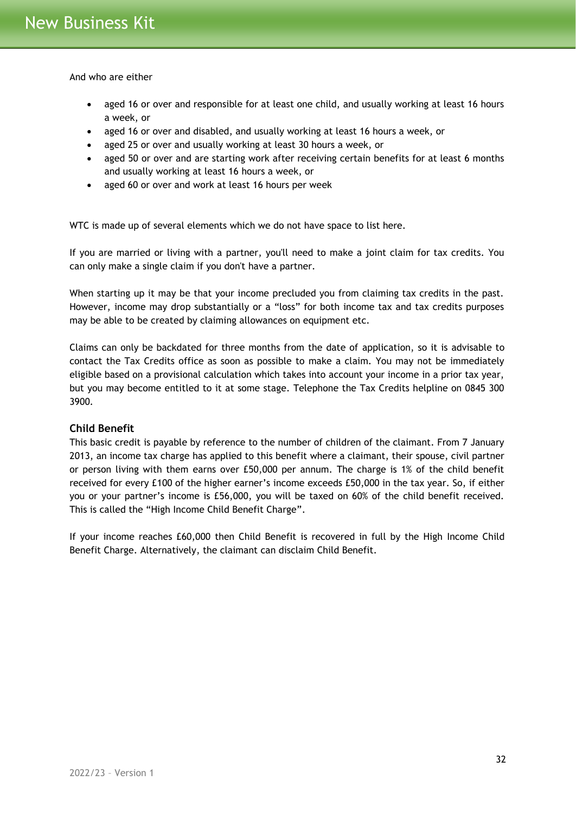And who are either

- aged 16 or over and responsible for at least one child, and usually working at least 16 hours a week, or
- aged 16 or over and disabled, and usually working at least 16 hours a week, or
- aged 25 or over and usually working at least 30 hours a week, or
- aged 50 or over and are starting work after receiving certain benefits for at least 6 months and usually working at least 16 hours a week, or
- aged 60 or over and work at least 16 hours per week

WTC is made up of several elements which we do not have space to list here.

If you are married or living with a partner, you'll need to make a joint claim for tax credits. You can only make a single claim if you don't have a partner.

When starting up it may be that your income precluded you from claiming tax credits in the past. However, income may drop substantially or a "loss" for both income tax and tax credits purposes may be able to be created by claiming allowances on equipment etc.

Claims can only be backdated for three months from the date of application, so it is advisable to contact the Tax Credits office as soon as possible to make a claim. You may not be immediately eligible based on a provisional calculation which takes into account your income in a prior tax year, but you may become entitled to it at some stage. Telephone the Tax Credits helpline on 0845 300 3900.

## <span id="page-31-0"></span>**Child Benefit**

This basic credit is payable by reference to the number of children of the claimant. From 7 January 2013, an income tax charge has applied to this benefit where a claimant, their spouse, civil partner or person living with them earns over £50,000 per annum. The charge is 1% of the child benefit received for every £100 of the higher earner's income exceeds £50,000 in the tax year. So, if either you or your partner's income is £56,000, you will be taxed on 60% of the child benefit received. This is called the "High Income Child Benefit Charge".

If your income reaches £60,000 then Child Benefit is recovered in full by the High Income Child Benefit Charge. Alternatively, the claimant can disclaim Child Benefit.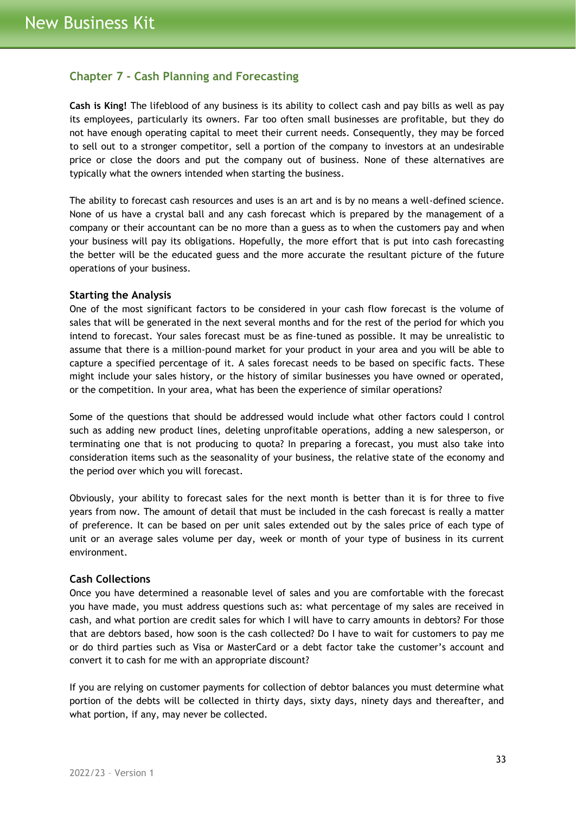# <span id="page-32-0"></span>**Chapter 7 - Cash Planning and Forecasting**

**Cash is King!** The lifeblood of any business is its ability to collect cash and pay bills as well as pay its employees, particularly its owners. Far too often small businesses are profitable, but they do not have enough operating capital to meet their current needs. Consequently, they may be forced to sell out to a stronger competitor, sell a portion of the company to investors at an undesirable price or close the doors and put the company out of business. None of these alternatives are typically what the owners intended when starting the business.

The ability to forecast cash resources and uses is an art and is by no means a well-defined science. None of us have a crystal ball and any cash forecast which is prepared by the management of a company or their accountant can be no more than a guess as to when the customers pay and when your business will pay its obligations. Hopefully, the more effort that is put into cash forecasting the better will be the educated guess and the more accurate the resultant picture of the future operations of your business.

#### <span id="page-32-1"></span>**Starting the Analysis**

One of the most significant factors to be considered in your cash flow forecast is the volume of sales that will be generated in the next several months and for the rest of the period for which you intend to forecast. Your sales forecast must be as fine-tuned as possible. It may be unrealistic to assume that there is a million-pound market for your product in your area and you will be able to capture a specified percentage of it. A sales forecast needs to be based on specific facts. These might include your sales history, or the history of similar businesses you have owned or operated, or the competition. In your area, what has been the experience of similar operations?

Some of the questions that should be addressed would include what other factors could I control such as adding new product lines, deleting unprofitable operations, adding a new salesperson, or terminating one that is not producing to quota? In preparing a forecast, you must also take into consideration items such as the seasonality of your business, the relative state of the economy and the period over which you will forecast.

Obviously, your ability to forecast sales for the next month is better than it is for three to five years from now. The amount of detail that must be included in the cash forecast is really a matter of preference. It can be based on per unit sales extended out by the sales price of each type of unit or an average sales volume per day, week or month of your type of business in its current environment.

## <span id="page-32-2"></span>**Cash Collections**

Once you have determined a reasonable level of sales and you are comfortable with the forecast you have made, you must address questions such as: what percentage of my sales are received in cash, and what portion are credit sales for which I will have to carry amounts in debtors? For those that are debtors based, how soon is the cash collected? Do I have to wait for customers to pay me or do third parties such as Visa or MasterCard or a debt factor take the customer's account and convert it to cash for me with an appropriate discount?

If you are relying on customer payments for collection of debtor balances you must determine what portion of the debts will be collected in thirty days, sixty days, ninety days and thereafter, and what portion, if any, may never be collected.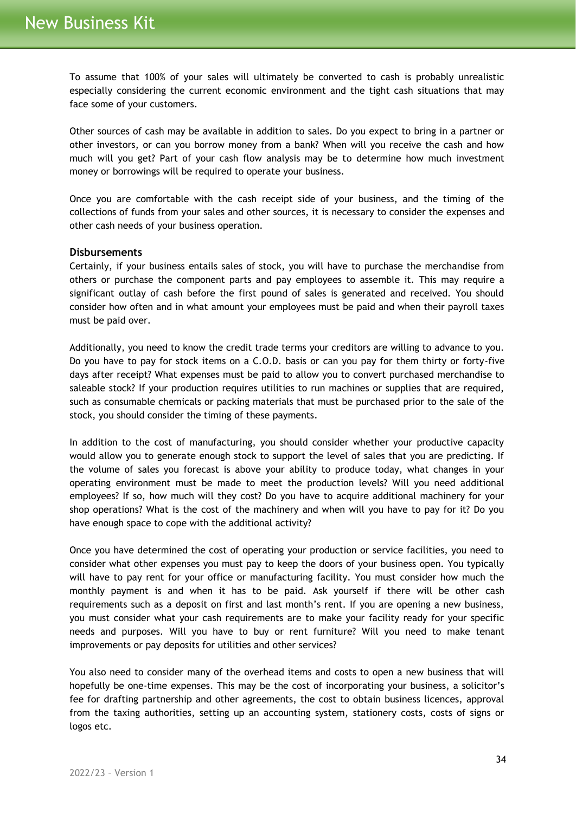To assume that 100% of your sales will ultimately be converted to cash is probably unrealistic especially considering the current economic environment and the tight cash situations that may face some of your customers.

Other sources of cash may be available in addition to sales. Do you expect to bring in a partner or other investors, or can you borrow money from a bank? When will you receive the cash and how much will you get? Part of your cash flow analysis may be to determine how much investment money or borrowings will be required to operate your business.

Once you are comfortable with the cash receipt side of your business, and the timing of the collections of funds from your sales and other sources, it is necessary to consider the expenses and other cash needs of your business operation.

## <span id="page-33-0"></span>**Disbursements**

Certainly, if your business entails sales of stock, you will have to purchase the merchandise from others or purchase the component parts and pay employees to assemble it. This may require a significant outlay of cash before the first pound of sales is generated and received. You should consider how often and in what amount your employees must be paid and when their payroll taxes must be paid over.

Additionally, you need to know the credit trade terms your creditors are willing to advance to you. Do you have to pay for stock items on a C.O.D. basis or can you pay for them thirty or forty-five days after receipt? What expenses must be paid to allow you to convert purchased merchandise to saleable stock? If your production requires utilities to run machines or supplies that are required, such as consumable chemicals or packing materials that must be purchased prior to the sale of the stock, you should consider the timing of these payments.

In addition to the cost of manufacturing, you should consider whether your productive capacity would allow you to generate enough stock to support the level of sales that you are predicting. If the volume of sales you forecast is above your ability to produce today, what changes in your operating environment must be made to meet the production levels? Will you need additional employees? If so, how much will they cost? Do you have to acquire additional machinery for your shop operations? What is the cost of the machinery and when will you have to pay for it? Do you have enough space to cope with the additional activity?

Once you have determined the cost of operating your production or service facilities, you need to consider what other expenses you must pay to keep the doors of your business open. You typically will have to pay rent for your office or manufacturing facility. You must consider how much the monthly payment is and when it has to be paid. Ask yourself if there will be other cash requirements such as a deposit on first and last month's rent. If you are opening a new business, you must consider what your cash requirements are to make your facility ready for your specific needs and purposes. Will you have to buy or rent furniture? Will you need to make tenant improvements or pay deposits for utilities and other services?

You also need to consider many of the overhead items and costs to open a new business that will hopefully be one-time expenses. This may be the cost of incorporating your business, a solicitor's fee for drafting partnership and other agreements, the cost to obtain business licences, approval from the taxing authorities, setting up an accounting system, stationery costs, costs of signs or logos etc.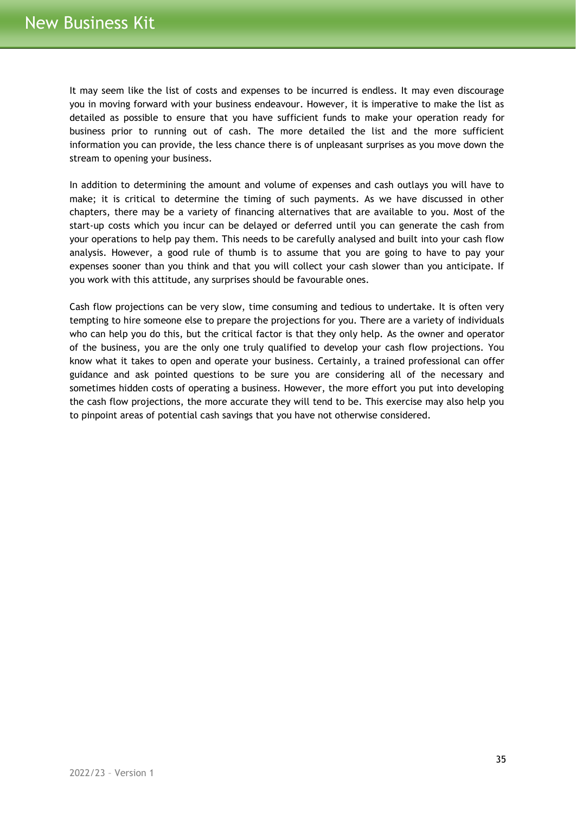It may seem like the list of costs and expenses to be incurred is endless. It may even discourage you in moving forward with your business endeavour. However, it is imperative to make the list as detailed as possible to ensure that you have sufficient funds to make your operation ready for business prior to running out of cash. The more detailed the list and the more sufficient information you can provide, the less chance there is of unpleasant surprises as you move down the stream to opening your business.

In addition to determining the amount and volume of expenses and cash outlays you will have to make; it is critical to determine the timing of such payments. As we have discussed in other chapters, there may be a variety of financing alternatives that are available to you. Most of the start-up costs which you incur can be delayed or deferred until you can generate the cash from your operations to help pay them. This needs to be carefully analysed and built into your cash flow analysis. However, a good rule of thumb is to assume that you are going to have to pay your expenses sooner than you think and that you will collect your cash slower than you anticipate. If you work with this attitude, any surprises should be favourable ones.

Cash flow projections can be very slow, time consuming and tedious to undertake. It is often very tempting to hire someone else to prepare the projections for you. There are a variety of individuals who can help you do this, but the critical factor is that they only help. As the owner and operator of the business, you are the only one truly qualified to develop your cash flow projections. You know what it takes to open and operate your business. Certainly, a trained professional can offer guidance and ask pointed questions to be sure you are considering all of the necessary and sometimes hidden costs of operating a business. However, the more effort you put into developing the cash flow projections, the more accurate they will tend to be. This exercise may also help you to pinpoint areas of potential cash savings that you have not otherwise considered.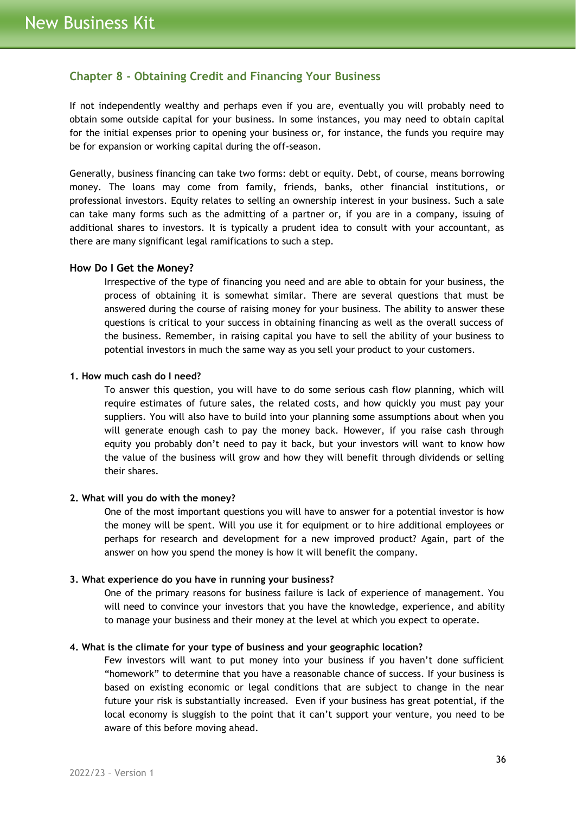## <span id="page-35-0"></span>**Chapter 8 - Obtaining Credit and Financing Your Business**

If not independently wealthy and perhaps even if you are, eventually you will probably need to obtain some outside capital for your business. In some instances, you may need to obtain capital for the initial expenses prior to opening your business or, for instance, the funds you require may be for expansion or working capital during the off-season.

Generally, business financing can take two forms: debt or equity. Debt, of course, means borrowing money. The loans may come from family, friends, banks, other financial institutions, or professional investors. Equity relates to selling an ownership interest in your business. Such a sale can take many forms such as the admitting of a partner or, if you are in a company, issuing of additional shares to investors. It is typically a prudent idea to consult with your accountant, as there are many significant legal ramifications to such a step.

#### <span id="page-35-1"></span>**How Do I Get the Money?**

Irrespective of the type of financing you need and are able to obtain for your business, the process of obtaining it is somewhat similar. There are several questions that must be answered during the course of raising money for your business. The ability to answer these questions is critical to your success in obtaining financing as well as the overall success of the business. Remember, in raising capital you have to sell the ability of your business to potential investors in much the same way as you sell your product to your customers.

#### **1. How much cash do I need?**

To answer this question, you will have to do some serious cash flow planning, which will require estimates of future sales, the related costs, and how quickly you must pay your suppliers. You will also have to build into your planning some assumptions about when you will generate enough cash to pay the money back. However, if you raise cash through equity you probably don't need to pay it back, but your investors will want to know how the value of the business will grow and how they will benefit through dividends or selling their shares.

#### **2. What will you do with the money?**

One of the most important questions you will have to answer for a potential investor is how the money will be spent. Will you use it for equipment or to hire additional employees or perhaps for research and development for a new improved product? Again, part of the answer on how you spend the money is how it will benefit the company.

#### **3. What experience do you have in running your business?**

One of the primary reasons for business failure is lack of experience of management. You will need to convince your investors that you have the knowledge, experience, and ability to manage your business and their money at the level at which you expect to operate.

#### **4. What is the climate for your type of business and your geographic location?**

Few investors will want to put money into your business if you haven't done sufficient "homework" to determine that you have a reasonable chance of success. If your business is based on existing economic or legal conditions that are subject to change in the near future your risk is substantially increased. Even if your business has great potential, if the local economy is sluggish to the point that it can't support your venture, you need to be aware of this before moving ahead.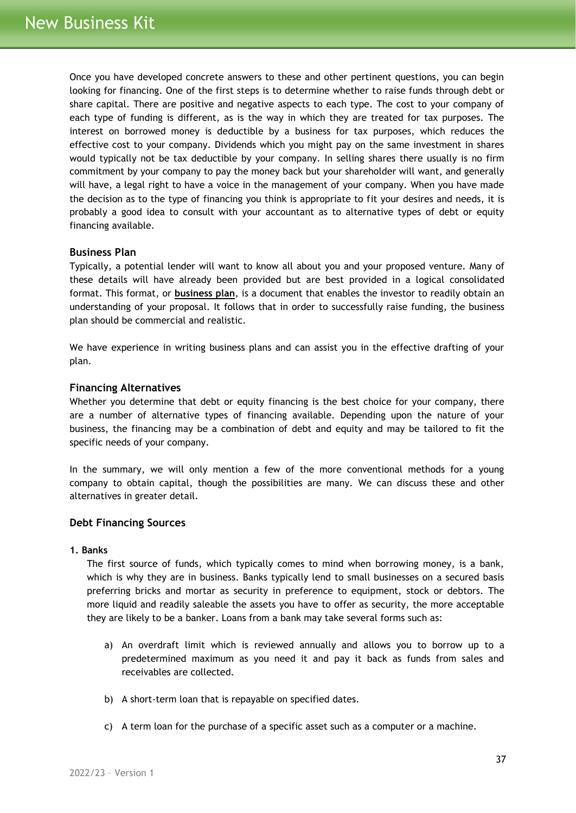Once you have developed concrete answers to these and other pertinent questions, you can begin looking for financing. One of the first steps is to determine whether to raise funds through debt or share capital. There are positive and negative aspects to each type. The cost to your company of each type of funding is different, as is the way in which they are treated for tax purposes. The interest on borrowed money is deductible by a business for tax purposes, which reduces the effective cost to your company. Dividends which you might pay on the same investment in shares would typically not be tax deductible by your company. In selling shares there usually is no firm commitment by your company to pay the money back but your shareholder will want, and generally will have, a legal right to have a voice in the management of your company. When you have made the decision as to the type of financing you think is appropriate to fit your desires and needs, it is probably a good idea to consult with your accountant as to alternative types of debt or equity financing available.

## <span id="page-36-0"></span>**Business Plan**

Typically, a potential lender will want to know all about you and your proposed venture. Many of these details will have already been provided but are best provided in a logical consolidated format. This format, or **business plan**, is a document that enables the investor to readily obtain an understanding of your proposal. It follows that in order to successfully raise funding, the business plan should be commercial and realistic.

We have experience in writing business plans and can assist you in the effective drafting of your plan.

#### <span id="page-36-1"></span>**Financing Alternatives**

Whether you determine that debt or equity financing is the best choice for your company, there are a number of alternative types of financing available. Depending upon the nature of your business, the financing may be a combination of debt and equity and may be tailored to fit the specific needs of your company.

In the summary, we will only mention a few of the more conventional methods for a young company to obtain capital, though the possibilities are many. We can discuss these and other alternatives in greater detail.

## <span id="page-36-2"></span>**Debt Financing Sources**

#### **1. Banks**

The first source of funds, which typically comes to mind when borrowing money, is a bank, which is why they are in business. Banks typically lend to small businesses on a secured basis preferring bricks and mortar as security in preference to equipment, stock or debtors. The more liquid and readily saleable the assets you have to offer as security, the more acceptable they are likely to be a banker. Loans from a bank may take several forms such as:

- a) An overdraft limit which is reviewed annually and allows you to borrow up to a predetermined maximum as you need it and pay it back as funds from sales and receivables are collected.
- b) A short-term loan that is repayable on specified dates.
- c) A term loan for the purchase of a specific asset such as a computer or a machine.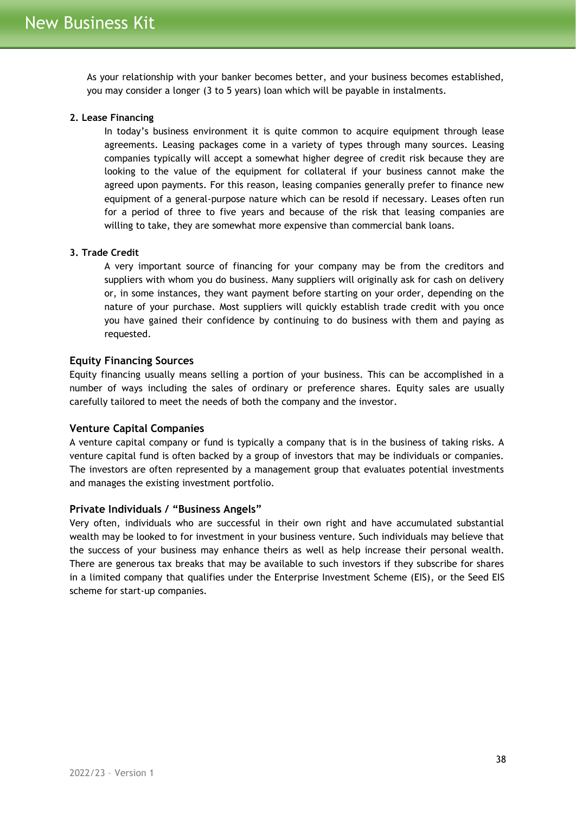As your relationship with your banker becomes better, and your business becomes established, you may consider a longer (3 to 5 years) loan which will be payable in instalments.

#### **2. Lease Financing**

In today's business environment it is quite common to acquire equipment through lease agreements. Leasing packages come in a variety of types through many sources. Leasing companies typically will accept a somewhat higher degree of credit risk because they are looking to the value of the equipment for collateral if your business cannot make the agreed upon payments. For this reason, leasing companies generally prefer to finance new equipment of a general-purpose nature which can be resold if necessary. Leases often run for a period of three to five years and because of the risk that leasing companies are willing to take, they are somewhat more expensive than commercial bank loans.

## **3. Trade Credit**

A very important source of financing for your company may be from the creditors and suppliers with whom you do business. Many suppliers will originally ask for cash on delivery or, in some instances, they want payment before starting on your order, depending on the nature of your purchase. Most suppliers will quickly establish trade credit with you once you have gained their confidence by continuing to do business with them and paying as requested.

#### <span id="page-37-0"></span>**Equity Financing Sources**

Equity financing usually means selling a portion of your business. This can be accomplished in a number of ways including the sales of ordinary or preference shares. Equity sales are usually carefully tailored to meet the needs of both the company and the investor.

#### <span id="page-37-1"></span>**Venture Capital Companies**

A venture capital company or fund is typically a company that is in the business of taking risks. A venture capital fund is often backed by a group of investors that may be individuals or companies. The investors are often represented by a management group that evaluates potential investments and manages the existing investment portfolio.

#### <span id="page-37-2"></span>**Private Individuals / "Business Angels"**

Very often, individuals who are successful in their own right and have accumulated substantial wealth may be looked to for investment in your business venture. Such individuals may believe that the success of your business may enhance theirs as well as help increase their personal wealth. There are generous tax breaks that may be available to such investors if they subscribe for shares in a limited company that qualifies under the Enterprise Investment Scheme (EIS), or the Seed EIS scheme for start-up companies.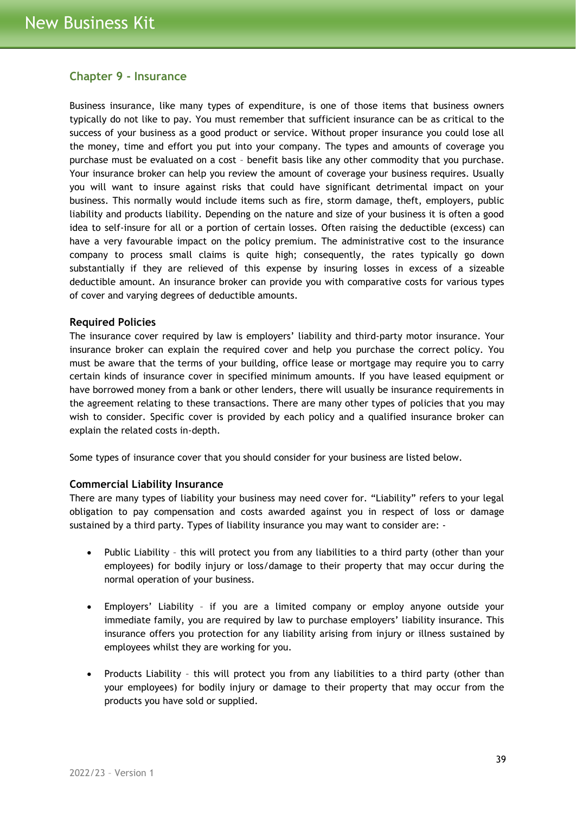## <span id="page-38-0"></span>**Chapter 9 - Insurance**

Business insurance, like many types of expenditure, is one of those items that business owners typically do not like to pay. You must remember that sufficient insurance can be as critical to the success of your business as a good product or service. Without proper insurance you could lose all the money, time and effort you put into your company. The types and amounts of coverage you purchase must be evaluated on a cost – benefit basis like any other commodity that you purchase. Your insurance broker can help you review the amount of coverage your business requires. Usually you will want to insure against risks that could have significant detrimental impact on your business. This normally would include items such as fire, storm damage, theft, employers, public liability and products liability. Depending on the nature and size of your business it is often a good idea to self-insure for all or a portion of certain losses. Often raising the deductible (excess) can have a very favourable impact on the policy premium. The administrative cost to the insurance company to process small claims is quite high; consequently, the rates typically go down substantially if they are relieved of this expense by insuring losses in excess of a sizeable deductible amount. An insurance broker can provide you with comparative costs for various types of cover and varying degrees of deductible amounts.

## <span id="page-38-1"></span>**Required Policies**

The insurance cover required by law is employers' liability and third-party motor insurance. Your insurance broker can explain the required cover and help you purchase the correct policy. You must be aware that the terms of your building, office lease or mortgage may require you to carry certain kinds of insurance cover in specified minimum amounts. If you have leased equipment or have borrowed money from a bank or other lenders, there will usually be insurance requirements in the agreement relating to these transactions. There are many other types of policies that you may wish to consider. Specific cover is provided by each policy and a qualified insurance broker can explain the related costs in-depth.

Some types of insurance cover that you should consider for your business are listed below.

#### <span id="page-38-2"></span>**Commercial Liability Insurance**

There are many types of liability your business may need cover for. "Liability" refers to your legal obligation to pay compensation and costs awarded against you in respect of loss or damage sustained by a third party. Types of liability insurance you may want to consider are: -

- Public Liability this will protect you from any liabilities to a third party (other than your employees) for bodily injury or loss/damage to their property that may occur during the normal operation of your business.
- Employers' Liability if you are a limited company or employ anyone outside your immediate family, you are required by law to purchase employers' liability insurance. This insurance offers you protection for any liability arising from injury or illness sustained by employees whilst they are working for you.
- Products Liability this will protect you from any liabilities to a third party (other than your employees) for bodily injury or damage to their property that may occur from the products you have sold or supplied.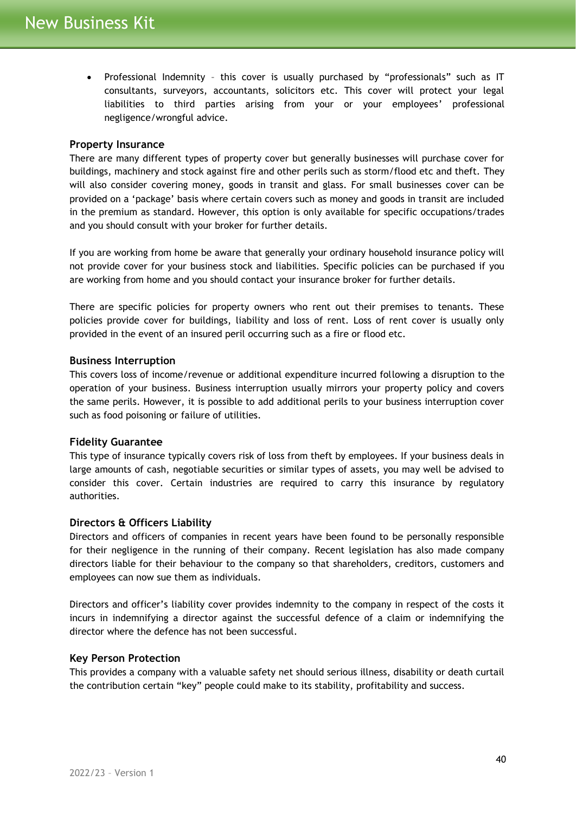• Professional Indemnity – this cover is usually purchased by "professionals" such as IT consultants, surveyors, accountants, solicitors etc. This cover will protect your legal liabilities to third parties arising from your or your employees' professional negligence/wrongful advice.

## <span id="page-39-0"></span>**Property Insurance**

There are many different types of property cover but generally businesses will purchase cover for buildings, machinery and stock against fire and other perils such as storm/flood etc and theft. They will also consider covering money, goods in transit and glass. For small businesses cover can be provided on a 'package' basis where certain covers such as money and goods in transit are included in the premium as standard. However, this option is only available for specific occupations/trades and you should consult with your broker for further details.

If you are working from home be aware that generally your ordinary household insurance policy will not provide cover for your business stock and liabilities. Specific policies can be purchased if you are working from home and you should contact your insurance broker for further details.

There are specific policies for property owners who rent out their premises to tenants. These policies provide cover for buildings, liability and loss of rent. Loss of rent cover is usually only provided in the event of an insured peril occurring such as a fire or flood etc.

## <span id="page-39-1"></span>**Business Interruption**

This covers loss of income/revenue or additional expenditure incurred following a disruption to the operation of your business. Business interruption usually mirrors your property policy and covers the same perils. However, it is possible to add additional perils to your business interruption cover such as food poisoning or failure of utilities.

## <span id="page-39-2"></span>**Fidelity Guarantee**

This type of insurance typically covers risk of loss from theft by employees. If your business deals in large amounts of cash, negotiable securities or similar types of assets, you may well be advised to consider this cover. Certain industries are required to carry this insurance by regulatory authorities.

## <span id="page-39-3"></span>**Directors & Officers Liability**

Directors and officers of companies in recent years have been found to be personally responsible for their negligence in the running of their company. Recent legislation has also made company directors liable for their behaviour to the company so that shareholders, creditors, customers and employees can now sue them as individuals.

Directors and officer's liability cover provides indemnity to the company in respect of the costs it incurs in indemnifying a director against the successful defence of a claim or indemnifying the director where the defence has not been successful.

#### <span id="page-39-4"></span>**Key Person Protection**

This provides a company with a valuable safety net should serious illness, disability or death curtail the contribution certain "key" people could make to its stability, profitability and success.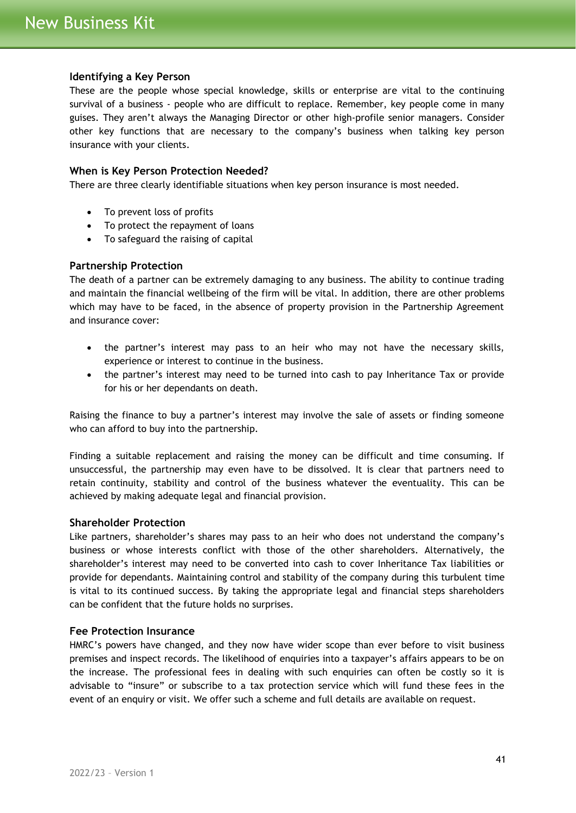## <span id="page-40-0"></span>**Identifying a Key Person**

These are the people whose special knowledge, skills or enterprise are vital to the continuing survival of a business - people who are difficult to replace. Remember, key people come in many guises. They aren't always the Managing Director or other high-profile senior managers. Consider other key functions that are necessary to the company's business when talking key person insurance with your clients.

#### <span id="page-40-1"></span>**When is Key Person Protection Needed?**

There are three clearly identifiable situations when key person insurance is most needed.

- To prevent loss of profits
- To protect the repayment of loans
- To safeguard the raising of capital

#### <span id="page-40-2"></span>**Partnership Protection**

The death of a partner can be extremely damaging to any business. The ability to continue trading and maintain the financial wellbeing of the firm will be vital. In addition, there are other problems which may have to be faced, in the absence of property provision in the Partnership Agreement and insurance cover:

- the partner's interest may pass to an heir who may not have the necessary skills, experience or interest to continue in the business.
- the partner's interest may need to be turned into cash to pay Inheritance Tax or provide for his or her dependants on death.

Raising the finance to buy a partner's interest may involve the sale of assets or finding someone who can afford to buy into the partnership.

Finding a suitable replacement and raising the money can be difficult and time consuming. If unsuccessful, the partnership may even have to be dissolved. It is clear that partners need to retain continuity, stability and control of the business whatever the eventuality. This can be achieved by making adequate legal and financial provision.

#### <span id="page-40-3"></span>**Shareholder Protection**

Like partners, shareholder's shares may pass to an heir who does not understand the company's business or whose interests conflict with those of the other shareholders. Alternatively, the shareholder's interest may need to be converted into cash to cover Inheritance Tax liabilities or provide for dependants. Maintaining control and stability of the company during this turbulent time is vital to its continued success. By taking the appropriate legal and financial steps shareholders can be confident that the future holds no surprises.

#### <span id="page-40-4"></span>**Fee Protection Insurance**

HMRC's powers have changed, and they now have wider scope than ever before to visit business premises and inspect records. The likelihood of enquiries into a taxpayer's affairs appears to be on the increase. The professional fees in dealing with such enquiries can often be costly so it is advisable to "insure" or subscribe to a tax protection service which will fund these fees in the event of an enquiry or visit. We offer such a scheme and full details are available on request.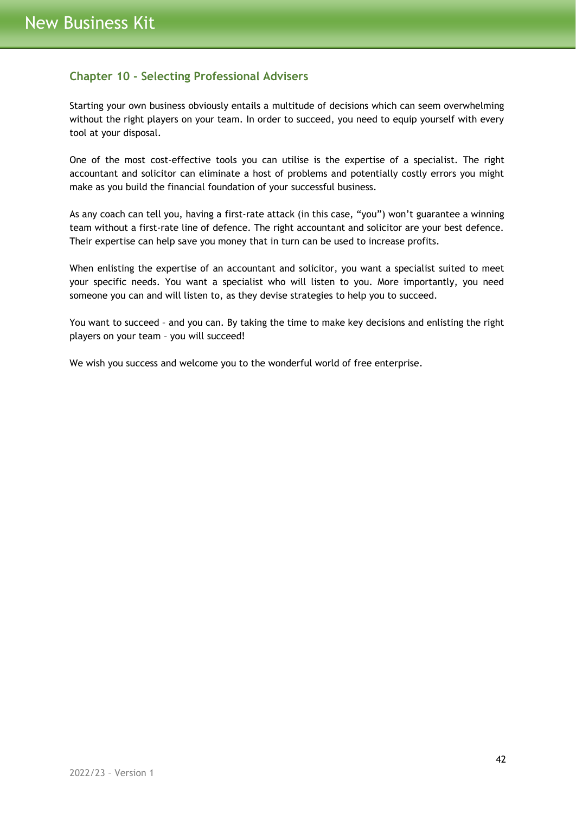# <span id="page-41-0"></span>**Chapter 10 - Selecting Professional Advisers**

Starting your own business obviously entails a multitude of decisions which can seem overwhelming without the right players on your team. In order to succeed, you need to equip yourself with every tool at your disposal.

One of the most cost-effective tools you can utilise is the expertise of a specialist. The right accountant and solicitor can eliminate a host of problems and potentially costly errors you might make as you build the financial foundation of your successful business.

As any coach can tell you, having a first-rate attack (in this case, "you") won't guarantee a winning team without a first-rate line of defence. The right accountant and solicitor are your best defence. Their expertise can help save you money that in turn can be used to increase profits.

When enlisting the expertise of an accountant and solicitor, you want a specialist suited to meet your specific needs. You want a specialist who will listen to you. More importantly, you need someone you can and will listen to, as they devise strategies to help you to succeed.

You want to succeed – and you can. By taking the time to make key decisions and enlisting the right players on your team – you will succeed!

We wish you success and welcome you to the wonderful world of free enterprise.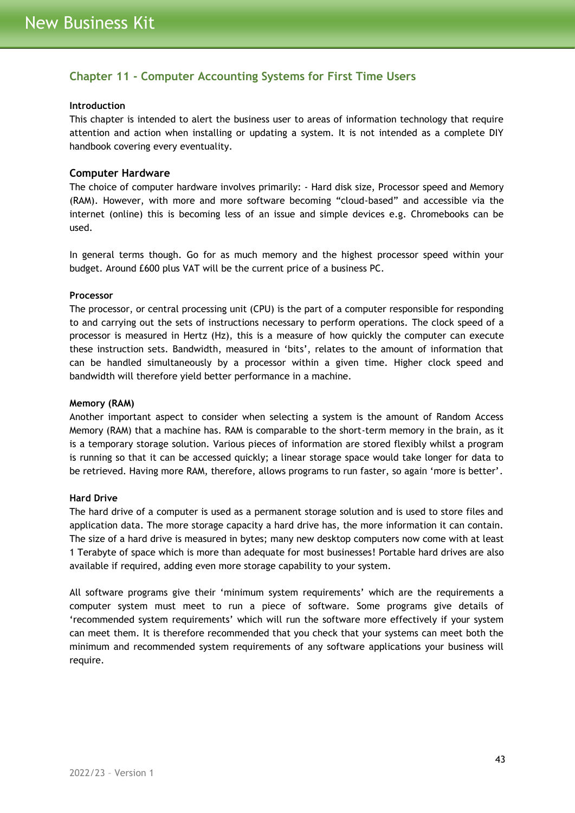# <span id="page-42-0"></span>**Chapter 11 - Computer Accounting Systems for First Time Users**

#### **Introduction**

This chapter is intended to alert the business user to areas of information technology that require attention and action when installing or updating a system. It is not intended as a complete DIY handbook covering every eventuality.

#### <span id="page-42-1"></span>**Computer Hardware**

The choice of computer hardware involves primarily: - Hard disk size, Processor speed and Memory (RAM). However, with more and more software becoming "cloud-based" and accessible via the internet (online) this is becoming less of an issue and simple devices e.g. Chromebooks can be used.

In general terms though. Go for as much memory and the highest processor speed within your budget. Around £600 plus VAT will be the current price of a business PC.

#### **Processor**

The processor, or central processing unit (CPU) is the part of a computer responsible for responding to and carrying out the sets of instructions necessary to perform operations. The clock speed of a processor is measured in Hertz (Hz), this is a measure of how quickly the computer can execute these instruction sets. Bandwidth, measured in 'bits', relates to the amount of information that can be handled simultaneously by a processor within a given time. Higher clock speed and bandwidth will therefore yield better performance in a machine.

#### **Memory (RAM)**

Another important aspect to consider when selecting a system is the amount of Random Access Memory (RAM) that a machine has. RAM is comparable to the short-term memory in the brain, as it is a temporary storage solution. Various pieces of information are stored flexibly whilst a program is running so that it can be accessed quickly; a linear storage space would take longer for data to be retrieved. Having more RAM, therefore, allows programs to run faster, so again 'more is better'.

#### **Hard Drive**

The hard drive of a computer is used as a permanent storage solution and is used to store files and application data. The more storage capacity a hard drive has, the more information it can contain. The size of a hard drive is measured in bytes; many new desktop computers now come with at least 1 Terabyte of space which is more than adequate for most businesses! Portable hard drives are also available if required, adding even more storage capability to your system.

All software programs give their 'minimum system requirements' which are the requirements a computer system must meet to run a piece of software. Some programs give details of 'recommended system requirements' which will run the software more effectively if your system can meet them. It is therefore recommended that you check that your systems can meet both the minimum and recommended system requirements of any software applications your business will require.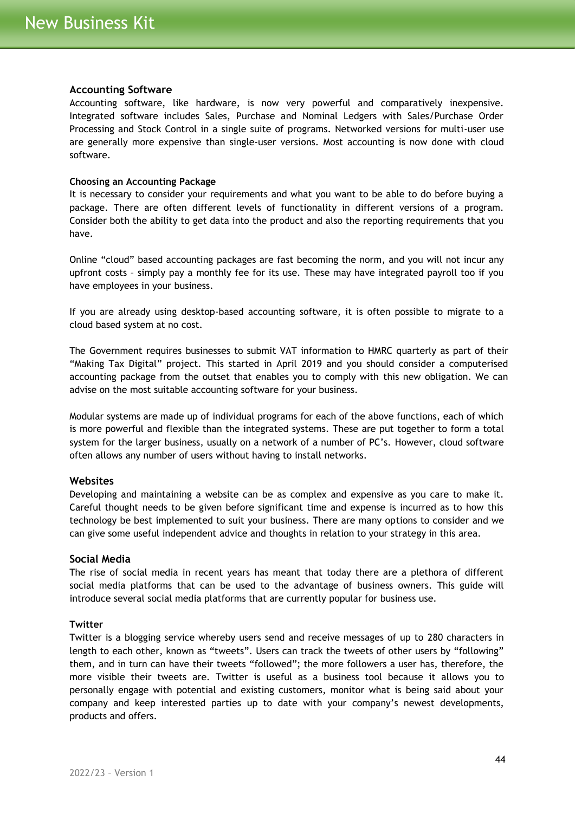#### <span id="page-43-0"></span>**Accounting Software**

Accounting software, like hardware, is now very powerful and comparatively inexpensive. Integrated software includes Sales, Purchase and Nominal Ledgers with Sales/Purchase Order Processing and Stock Control in a single suite of programs. Networked versions for multi-user use are generally more expensive than single-user versions. Most accounting is now done with cloud software.

#### **Choosing an Accounting Package**

It is necessary to consider your requirements and what you want to be able to do before buying a package. There are often different levels of functionality in different versions of a program. Consider both the ability to get data into the product and also the reporting requirements that you have.

Online "cloud" based accounting packages are fast becoming the norm, and you will not incur any upfront costs – simply pay a monthly fee for its use. These may have integrated payroll too if you have employees in your business.

If you are already using desktop-based accounting software, it is often possible to migrate to a cloud based system at no cost.

The Government requires businesses to submit VAT information to HMRC quarterly as part of their "Making Tax Digital" project. This started in April 2019 and you should consider a computerised accounting package from the outset that enables you to comply with this new obligation. We can advise on the most suitable accounting software for your business.

Modular systems are made up of individual programs for each of the above functions, each of which is more powerful and flexible than the integrated systems. These are put together to form a total system for the larger business, usually on a network of a number of PC's. However, cloud software often allows any number of users without having to install networks.

## <span id="page-43-1"></span>**Websites**

Developing and maintaining a website can be as complex and expensive as you care to make it. Careful thought needs to be given before significant time and expense is incurred as to how this technology be best implemented to suit your business. There are many options to consider and we can give some useful independent advice and thoughts in relation to your strategy in this area.

#### <span id="page-43-2"></span>**Social Media**

The rise of social media in recent years has meant that today there are a plethora of different social media platforms that can be used to the advantage of business owners. This guide will introduce several social media platforms that are currently popular for business use.

#### **Twitter**

Twitter is a blogging service whereby users send and receive messages of up to 280 characters in length to each other, known as "tweets". Users can track the tweets of other users by "following" them, and in turn can have their tweets "followed"; the more followers a user has, therefore, the more visible their tweets are. Twitter is useful as a business tool because it allows you to personally engage with potential and existing customers, monitor what is being said about your company and keep interested parties up to date with your company's newest developments, products and offers.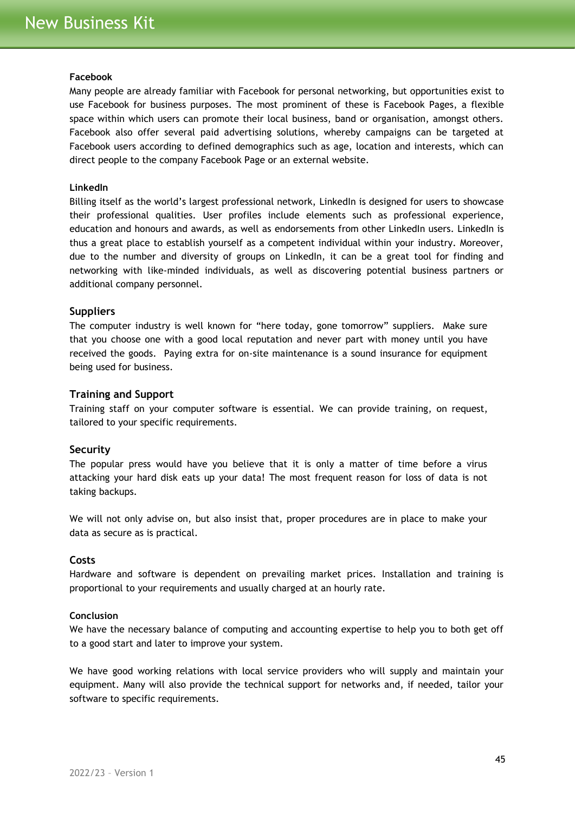#### **Facebook**

Many people are already familiar with Facebook for personal networking, but opportunities exist to use Facebook for business purposes. The most prominent of these is Facebook Pages, a flexible space within which users can promote their local business, band or organisation, amongst others. Facebook also offer several paid advertising solutions, whereby campaigns can be targeted at Facebook users according to defined demographics such as age, location and interests, which can direct people to the company Facebook Page or an external website.

## **LinkedIn**

Billing itself as the world's largest professional network, LinkedIn is designed for users to showcase their professional qualities. User profiles include elements such as professional experience, education and honours and awards, as well as endorsements from other LinkedIn users. LinkedIn is thus a great place to establish yourself as a competent individual within your industry. Moreover, due to the number and diversity of groups on LinkedIn, it can be a great tool for finding and networking with like-minded individuals, as well as discovering potential business partners or additional company personnel.

#### <span id="page-44-0"></span>**Suppliers**

The computer industry is well known for "here today, gone tomorrow" suppliers. Make sure that you choose one with a good local reputation and never part with money until you have received the goods. Paying extra for on-site maintenance is a sound insurance for equipment being used for business.

#### <span id="page-44-1"></span>**Training and Support**

Training staff on your computer software is essential. We can provide training, on request, tailored to your specific requirements.

#### <span id="page-44-2"></span>**Security**

The popular press would have you believe that it is only a matter of time before a virus attacking your hard disk eats up your data! The most frequent reason for loss of data is not taking backups.

We will not only advise on, but also insist that, proper procedures are in place to make your data as secure as is practical.

#### <span id="page-44-3"></span>**Costs**

Hardware and software is dependent on prevailing market prices. Installation and training is proportional to your requirements and usually charged at an hourly rate.

#### **Conclusion**

We have the necessary balance of computing and accounting expertise to help you to both get off to a good start and later to improve your system.

We have good working relations with local service providers who will supply and maintain your equipment. Many will also provide the technical support for networks and, if needed, tailor your software to specific requirements.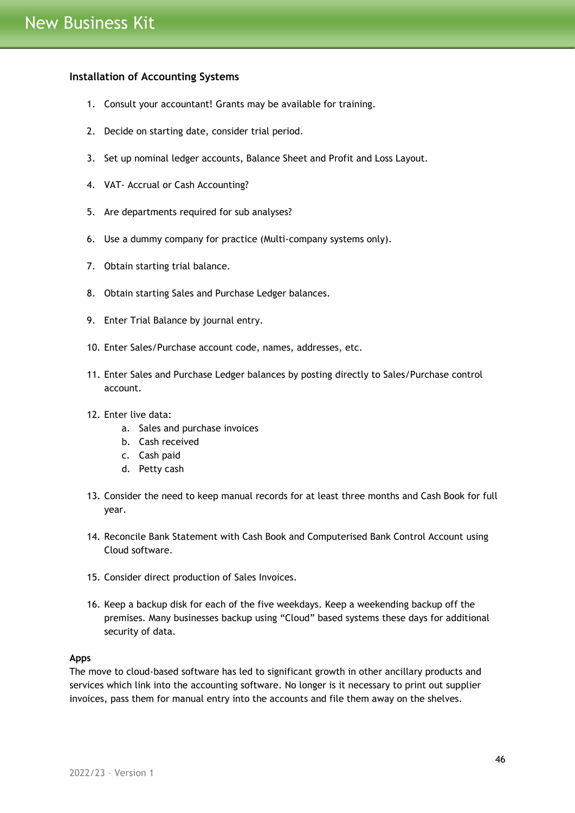## <span id="page-45-0"></span>**Installation of Accounting Systems**

- 1. Consult your accountant! Grants may be available for training.
- 2. Decide on starting date, consider trial period.
- 3. Set up nominal ledger accounts, Balance Sheet and Profit and Loss Layout.
- 4. VAT- Accrual or Cash Accounting?
- 5. Are departments required for sub analyses?
- 6. Use a dummy company for practice (Multi-company systems only).
- 7. Obtain starting trial balance.
- 8. Obtain starting Sales and Purchase Ledger balances.
- 9. Enter Trial Balance by journal entry.
- 10. Enter Sales/Purchase account code, names, addresses, etc.
- 11. Enter Sales and Purchase Ledger balances by posting directly to Sales/Purchase control account.
- 12. Enter live data:
	- a. Sales and purchase invoices
	- b. Cash received
	- c. Cash paid
	- d. Petty cash
- 13. Consider the need to keep manual records for at least three months and Cash Book for full year.
- 14. Reconcile Bank Statement with Cash Book and Computerised Bank Control Account using Cloud software.
- 15. Consider direct production of Sales Invoices.
- 16. Keep a backup disk for each of the five weekdays. Keep a weekending backup off the premises. Many businesses backup using "Cloud" based systems these days for additional security of data.

#### **Apps**

The move to cloud-based software has led to significant growth in other ancillary products and services which link into the accounting software. No longer is it necessary to print out supplier invoices, pass them for manual entry into the accounts and file them away on the shelves.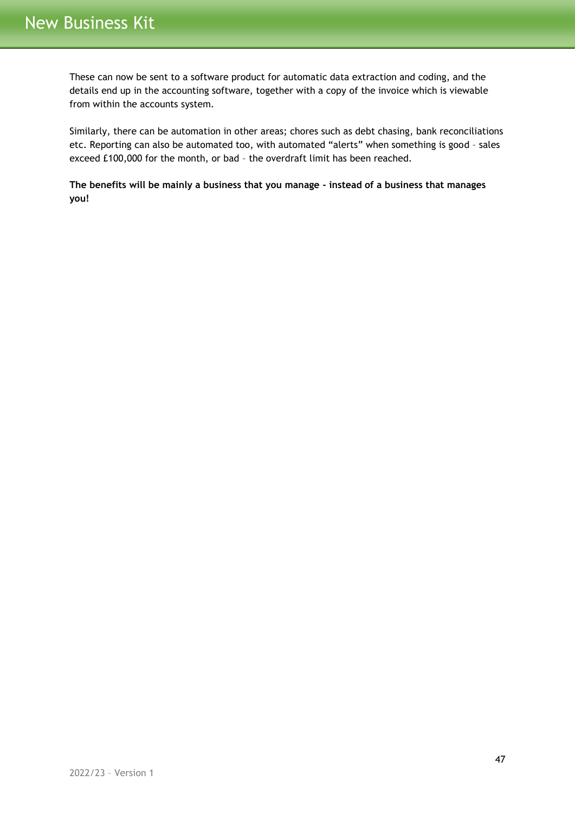These can now be sent to a software product for automatic data extraction and coding, and the details end up in the accounting software, together with a copy of the invoice which is viewable from within the accounts system.

Similarly, there can be automation in other areas; chores such as debt chasing, bank reconciliations etc. Reporting can also be automated too, with automated "alerts" when something is good – sales exceed £100,000 for the month, or bad – the overdraft limit has been reached.

**The benefits will be mainly a business that you manage - instead of a business that manages you!**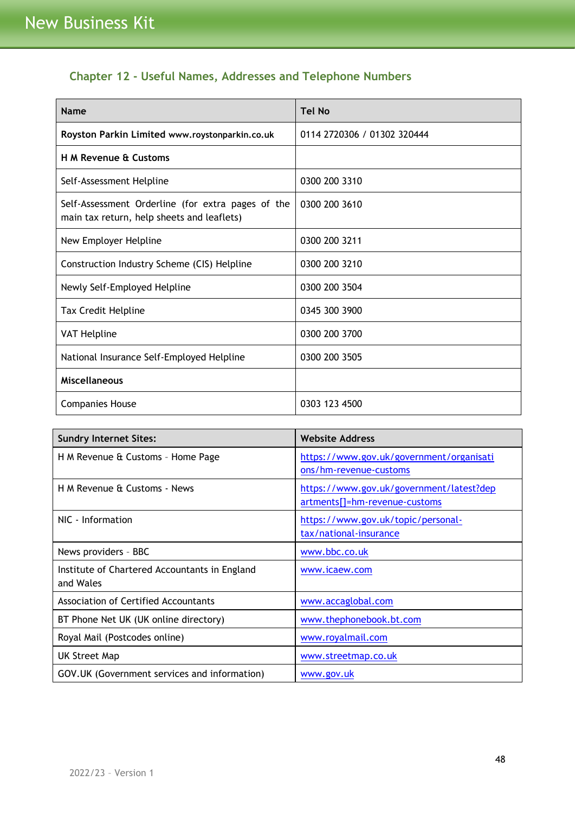# <span id="page-47-0"></span>**Chapter 12 - Useful Names, Addresses and Telephone Numbers**

| <b>Name</b>                                                                                     | <b>Tel No</b>               |
|-------------------------------------------------------------------------------------------------|-----------------------------|
| Royston Parkin Limited www.roystonparkin.co.uk                                                  | 0114 2720306 / 01302 320444 |
| <b>H M Revenue &amp; Customs</b>                                                                |                             |
| Self-Assessment Helpline                                                                        | 0300 200 3310               |
| Self-Assessment Orderline (for extra pages of the<br>main tax return, help sheets and leaflets) | 0300 200 3610               |
| New Employer Helpline                                                                           | 0300 200 3211               |
| Construction Industry Scheme (CIS) Helpline                                                     | 0300 200 3210               |
| Newly Self-Employed Helpline                                                                    | 0300 200 3504               |
| Tax Credit Helpline                                                                             | 0345 300 3900               |
| <b>VAT Helpline</b>                                                                             | 0300 200 3700               |
| National Insurance Self-Employed Helpline                                                       | 0300 200 3505               |
| <b>Miscellaneous</b>                                                                            |                             |
| <b>Companies House</b>                                                                          | 0303 123 4500               |

| <b>Sundry Internet Sites:</b>                 | <b>Website Address</b>                   |
|-----------------------------------------------|------------------------------------------|
| H M Revenue & Customs - Home Page             | https://www.gov.uk/government/organisati |
|                                               | ons/hm-revenue-customs                   |
| H M Revenue & Customs - News                  | https://www.gov.uk/government/latest?dep |
|                                               | artments[]=hm-revenue-customs            |
| NIC - Information                             | https://www.gov.uk/topic/personal-       |
|                                               | tax/national-insurance                   |
| News providers - BBC                          | www.bbc.co.uk                            |
| Institute of Chartered Accountants in England | www.icaew.com                            |
| and Wales                                     |                                          |
| <b>Association of Certified Accountants</b>   | www.accaglobal.com                       |
| BT Phone Net UK (UK online directory)         | www.thephonebook.bt.com                  |
| Royal Mail (Postcodes online)                 | www.royalmail.com                        |
| <b>UK Street Map</b>                          | www.streetmap.co.uk                      |
| GOV.UK (Government services and information)  | www.gov.uk                               |